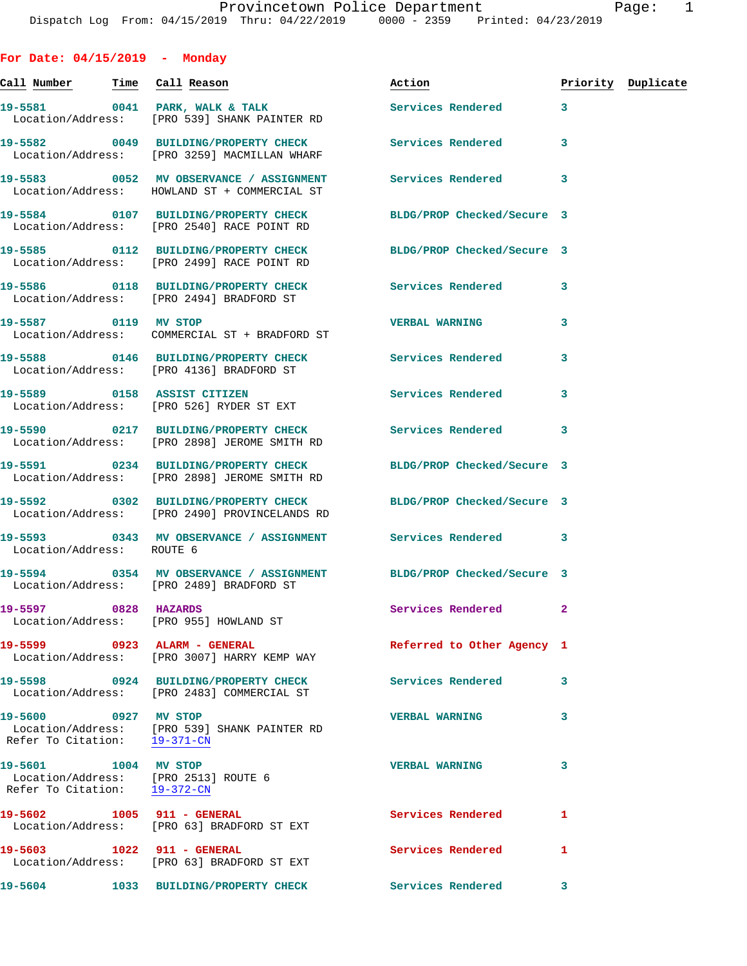| For Date: $04/15/2019$ - Monday                                                              |                                                                                                                  |                            |              |                    |
|----------------------------------------------------------------------------------------------|------------------------------------------------------------------------------------------------------------------|----------------------------|--------------|--------------------|
|                                                                                              | <u>Call Number — Time Call</u> Reason                                                                            | <u>Action</u>              |              | Priority Duplicate |
|                                                                                              | 19-5581 0041 PARK, WALK & TALK<br>Location/Address: [PRO 539] SHANK PAINTER RD                                   | <b>Services Rendered</b>   | 3            |                    |
|                                                                                              | 19-5582 0049 BUILDING/PROPERTY CHECK Services Rendered<br>Location/Address: [PRO 3259] MACMILLAN WHARF           |                            | 3            |                    |
|                                                                                              | 19-5583 0052 MV OBSERVANCE / ASSIGNMENT Services Rendered<br>Location/Address: HOWLAND ST + COMMERCIAL ST        |                            | 3            |                    |
|                                                                                              | 19-5584 0107 BUILDING/PROPERTY CHECK<br>Location/Address: [PRO 2540] RACE POINT RD                               | BLDG/PROP Checked/Secure 3 |              |                    |
|                                                                                              | 19-5585 0112 BUILDING/PROPERTY CHECK BLDG/PROP Checked/Secure 3<br>Location/Address: [PRO 2499] RACE POINT RD    |                            |              |                    |
|                                                                                              | 19-5586 0118 BUILDING/PROPERTY CHECK Services Rendered<br>Location/Address: [PRO 2494] BRADFORD ST               |                            | 3            |                    |
| 19-5587 0119 MV STOP                                                                         | Location/Address: COMMERCIAL ST + BRADFORD ST                                                                    | <b>VERBAL WARNING</b>      | 3            |                    |
|                                                                                              | 19-5588 0146 BUILDING/PROPERTY CHECK Services Rendered<br>Location/Address: [PRO 4136] BRADFORD ST               |                            | 3            |                    |
|                                                                                              | 19-5589 0158 ASSIST CITIZEN<br>Location/Address: [PRO 526] RYDER ST EXT                                          | Services Rendered          | 3            |                    |
|                                                                                              | 19-5590 0217 BUILDING/PROPERTY CHECK Services Rendered<br>Location/Address: [PRO 2898] JEROME SMITH RD           |                            | 3            |                    |
|                                                                                              | 19-5591 0234 BUILDING/PROPERTY CHECK<br>Location/Address: [PRO 2898] JEROME SMITH RD                             | BLDG/PROP Checked/Secure 3 |              |                    |
|                                                                                              | 19-5592 0302 BUILDING/PROPERTY CHECK BLDG/PROP Checked/Secure 3<br>Location/Address: [PRO 2490] PROVINCELANDS RD |                            |              |                    |
| Location/Address: ROUTE 6                                                                    | 19-5593       0343   MV OBSERVANCE / ASSIGNMENT       Services Rendered                                          |                            | 3            |                    |
|                                                                                              | 19-5594 0354 MV OBSERVANCE / ASSIGNMENT BLDG/PROP Checked/Secure 3<br>Location/Address: [PRO 2489] BRADFORD ST   |                            |              |                    |
| 19-5597 0828 HAZARDS                                                                         | Location/Address: [PRO 955] HOWLAND ST                                                                           | Services Rendered          | $\mathbf{2}$ |                    |
|                                                                                              | 19-5599 0923 ALARM - GENERAL<br>Location/Address: [PRO 3007] HARRY KEMP WAY                                      | Referred to Other Agency 1 |              |                    |
|                                                                                              | 19-5598 0924 BUILDING/PROPERTY CHECK<br>Location/Address: [PRO 2483] COMMERCIAL ST                               | Services Rendered          | 3            |                    |
| 19-5600 0927 MV STOP<br>Refer To Citation: 19-371-CN                                         | Location/Address: [PRO 539] SHANK PAINTER RD                                                                     | <b>VERBAL WARNING</b>      | 3            |                    |
| 19-5601 1004 MV STOP<br>Location/Address: [PRO 2513] ROUTE 6<br>Refer To Citation: 19-372-CN |                                                                                                                  | <b>VERBAL WARNING</b>      | 3            |                    |
| 19-5602 1005 911 - GENERAL                                                                   | Location/Address: [PRO 63] BRADFORD ST EXT                                                                       | Services Rendered          | 1            |                    |
| 19-5603 1022 911 - GENERAL                                                                   | Location/Address: [PRO 63] BRADFORD ST EXT                                                                       | Services Rendered          | 1            |                    |
|                                                                                              | 19-5604 1033 BUILDING/PROPERTY CHECK Services Rendered                                                           |                            | 3            |                    |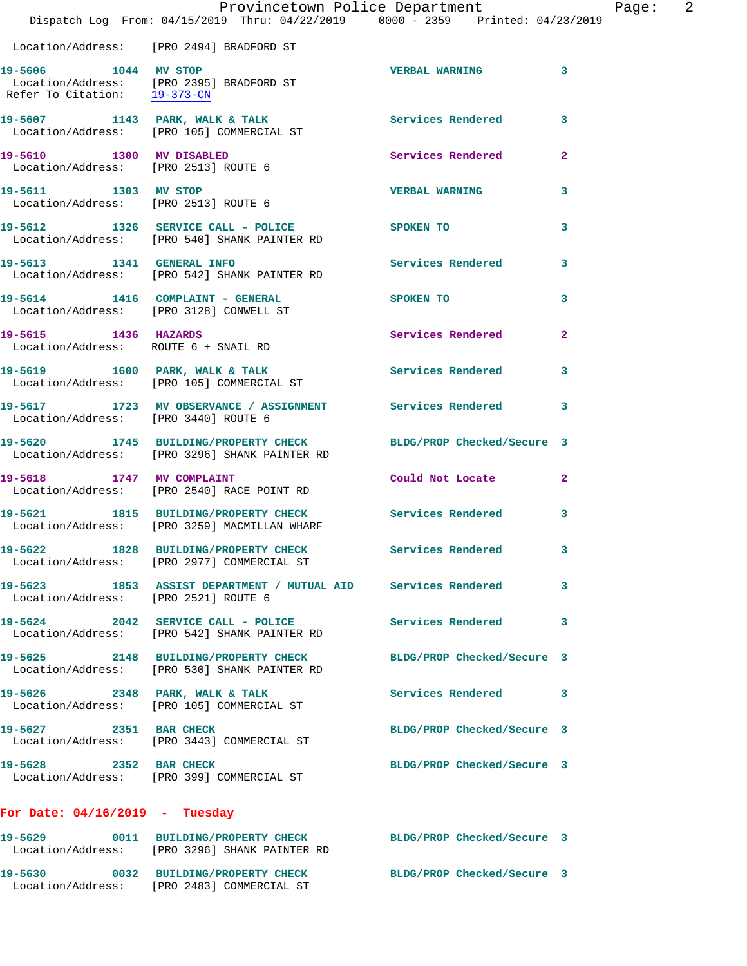|                                                                             | Provincetown Police Department<br>Dispatch Log From: 04/15/2019 Thru: 04/22/2019 0000 - 2359 Printed: 04/23/2019 |                            |                |
|-----------------------------------------------------------------------------|------------------------------------------------------------------------------------------------------------------|----------------------------|----------------|
|                                                                             | Location/Address: [PRO 2494] BRADFORD ST                                                                         |                            |                |
| 19-5606 1044 MV STOP<br>Refer To Citation: 19-373-CN                        | Location/Address: [PRO 2395] BRADFORD ST                                                                         | <b>VERBAL WARNING</b>      | 3              |
|                                                                             | 19-5607 1143 PARK, WALK & TALK<br>Location/Address: [PRO 105] COMMERCIAL ST                                      | <b>Services Rendered</b>   | 3              |
| 19-5610 1300 MV DISABLED<br>Location/Address: [PRO 2513] ROUTE 6            |                                                                                                                  | <b>Services Rendered</b>   | $\overline{2}$ |
| 19-5611 1303 MV STOP<br>Location/Address: [PRO 2513] ROUTE 6                |                                                                                                                  | <b>VERBAL WARNING</b>      | 3              |
|                                                                             | 19-5612 1326 SERVICE CALL - POLICE<br>  Location/Address: [PRO 540] SHANK PAINTER RD                             | SPOKEN TO                  | 3              |
|                                                                             | 19-5613 1341 GENERAL INFO<br>Location/Address: [PRO 542] SHANK PAINTER RD                                        | <b>Services Rendered</b>   | 3              |
| 19-5614 1416 COMPLAINT - GENERAL<br>Location/Address: [PRO 3128] CONWELL ST |                                                                                                                  | SPOKEN TO                  | 3              |
| 19-5615 1436 HAZARDS<br>Location/Address: ROUTE 6 + SNAIL RD                |                                                                                                                  | <b>Services Rendered</b>   | $\overline{a}$ |
|                                                                             | 19-5619 1600 PARK, WALK & TALK<br>Location/Address: [PRO 105] COMMERCIAL ST                                      | <b>Services Rendered</b>   | 3              |
| Location/Address: [PRO 3440] ROUTE 6                                        | 19-5617 1723 MV OBSERVANCE / ASSIGNMENT Services Rendered                                                        |                            | 3              |
|                                                                             | 19-5620 1745 BUILDING/PROPERTY CHECK<br>Location/Address: [PRO 3296] SHANK PAINTER RD                            | BLDG/PROP Checked/Secure 3 |                |
| 19-5618 1747 MV COMPLAINT                                                   | Location/Address: [PRO 2540] RACE POINT RD                                                                       | Could Not Locate           | $\mathbf{2}$   |
|                                                                             | 19-5621 1815 BUILDING/PROPERTY CHECK<br>Location/Address: [PRO 3259] MACMILLAN WHARF                             | Services Rendered          | 3              |
|                                                                             | 19-5622 1828 BUILDING/PROPERTY CHECK<br>Location/Address: [PRO 2977] COMMERCIAL ST                               | Services Rendered          | 3              |
| Location/Address: [PRO 2521] ROUTE 6                                        | 19-5623 1853 ASSIST DEPARTMENT / MUTUAL AID Services Rendered                                                    |                            | 3              |
|                                                                             | 19-5624 2042 SERVICE CALL - POLICE<br>Location/Address: [PRO 542] SHANK PAINTER RD                               | <b>Services Rendered</b>   | 3              |
|                                                                             | 19-5625 2148 BUILDING/PROPERTY CHECK<br>Location/Address: [PRO 530] SHANK PAINTER RD                             | BLDG/PROP Checked/Secure 3 |                |
|                                                                             | 19-5626 2348 PARK, WALK & TALK<br>Location/Address: [PRO 105] COMMERCIAL ST                                      | Services Rendered          | 3              |
| 19-5627 2351 BAR CHECK                                                      | Location/Address: [PRO 3443] COMMERCIAL ST                                                                       | BLDG/PROP Checked/Secure 3 |                |
| 19-5628 2352 BAR CHECK                                                      | Location/Address: [PRO 399] COMMERCIAL ST                                                                        | BLDG/PROP Checked/Secure 3 |                |
| For Date: $04/16/2019$ - Tuesday                                            |                                                                                                                  |                            |                |
|                                                                             | 19-5629 0011 BUILDING/PROPERTY CHECK<br>Location/Address: [PRO 3296] SHANK PAINTER RD                            | BLDG/PROP Checked/Secure 3 |                |

**19-5630 0032 BUILDING/PROPERTY CHECK BLDG/PROP Checked/Secure 3**  Location/Address: [PRO 2483] COMMERCIAL ST

Page: 2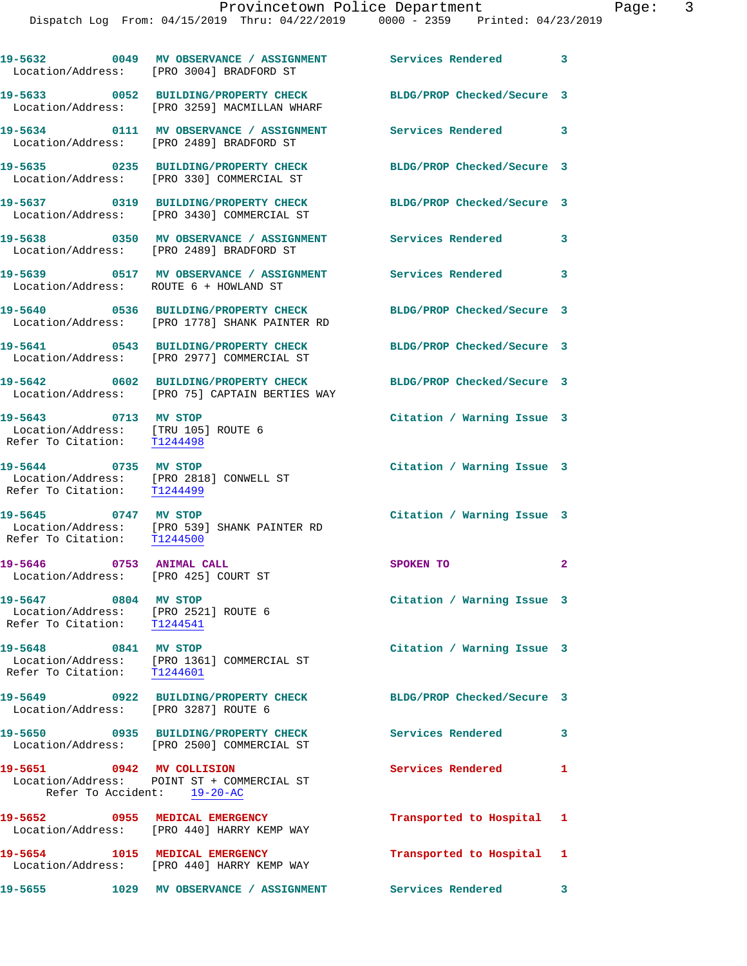|                                                                                             | 19-5632 0049 MV OBSERVANCE / ASSIGNMENT Services Rendered 3<br>Location/Address: [PRO 3004] BRADFORD ST |                                       |                |
|---------------------------------------------------------------------------------------------|---------------------------------------------------------------------------------------------------------|---------------------------------------|----------------|
|                                                                                             | 19-5633 0052 BUILDING/PROPERTY CHECK<br>Location/Address: [PRO 3259] MACMILLAN WHARF                    | BLDG/PROP Checked/Secure 3            |                |
|                                                                                             | 19-5634 0111 MV OBSERVANCE / ASSIGNMENT Services Rendered 3<br>Location/Address: [PRO 2489] BRADFORD ST |                                       |                |
|                                                                                             | 19-5635 0235 BUILDING/PROPERTY CHECK<br>Location/Address: [PRO 330] COMMERCIAL ST                       | BLDG/PROP Checked/Secure 3            |                |
|                                                                                             | 19-5637 0319 BUILDING/PROPERTY CHECK<br>Location/Address: [PRO 3430] COMMERCIAL ST                      | BLDG/PROP Checked/Secure 3            |                |
|                                                                                             | 19-5638 0350 MV OBSERVANCE / ASSIGNMENT Services Rendered 3<br>Location/Address: [PRO 2489] BRADFORD ST |                                       |                |
| Location/Address: ROUTE 6 + HOWLAND ST                                                      | 19-5639 0517 MV OBSERVANCE / ASSIGNMENT Services Rendered 3                                             |                                       |                |
|                                                                                             | 19-5640 0536 BUILDING/PROPERTY CHECK<br>Location/Address: [PRO 1778] SHANK PAINTER RD                   | BLDG/PROP Checked/Secure 3            |                |
|                                                                                             | 19-5641 0543 BUILDING/PROPERTY CHECK<br>Location/Address: [PRO 2977] COMMERCIAL ST                      | BLDG/PROP Checked/Secure 3            |                |
|                                                                                             | 19-5642 0602 BUILDING/PROPERTY CHECK<br>Location/Address: [PRO 75] CAPTAIN BERTIES WAY                  | BLDG/PROP Checked/Secure 3            |                |
| 19-5643 0713 MV STOP<br>Location/Address: [TRU 105] ROUTE 6<br>Refer To Citation: T1244498  |                                                                                                         | Citation / Warning Issue 3            |                |
| 19-5644 0735 MV STOP                                                                        | Location/Address: [PRO 2818] CONWELL ST<br>Refer To Citation: T1244499                                  | Citation / Warning Issue 3            |                |
| 19-5645 0747 MV STOP<br>Refer To Citation: T1244500                                         | Location/Address: [PRO 539] SHANK PAINTER RD                                                            | Citation / Warning Issue 3            |                |
| 19-5646 0753 ANIMAL CALL<br>Location/Address: [PRO 425] COURT ST                            |                                                                                                         | SPOKEN TO                             | $\overline{a}$ |
| 19-5647 0804 MV STOP<br>Location/Address: [PRO 2521] ROUTE 6<br>Refer To Citation: T1244541 |                                                                                                         | Citation / Warning Issue 3            |                |
| 19-5648 0841 MV STOP                                                                        | Location/Address: [PRO 1361] COMMERCIAL ST<br>Refer To Citation: $\frac{T1244601}{T1244601}$            | Citation / Warning Issue 3            |                |
| Location/Address: [PRO 3287] ROUTE 6                                                        | 19-5649 0922 BUILDING/PROPERTY CHECK                                                                    | BLDG/PROP Checked/Secure 3            |                |
|                                                                                             | 19-5650 0935 BUILDING/PROPERTY CHECK<br>Location/Address: [PRO 2500] COMMERCIAL ST                      | <b>Services Rendered</b>              | 3              |
| 19-5651 0942 MV COLLISION<br>Refer To Accident: 19-20-AC                                    | Location/Address: POINT ST + COMMERCIAL ST                                                              | Services Rendered 1                   |                |
|                                                                                             | 19-5652 0955 MEDICAL EMERGENCY<br>Location/Address: [PRO 440] HARRY KEMP WAY                            | Transported to Hospital 1             |                |
|                                                                                             | 19-5654 1015 MEDICAL EMERGENCY<br>Location/Address: [PRO 440] HARRY KEMP WAY                            | Transported to Hospital 1             |                |
| 19-5655                                                                                     | 1029 MV OBSERVANCE / ASSIGNMENT                                                                         | Services Rendered<br>$\sim$ $\sim$ 3. |                |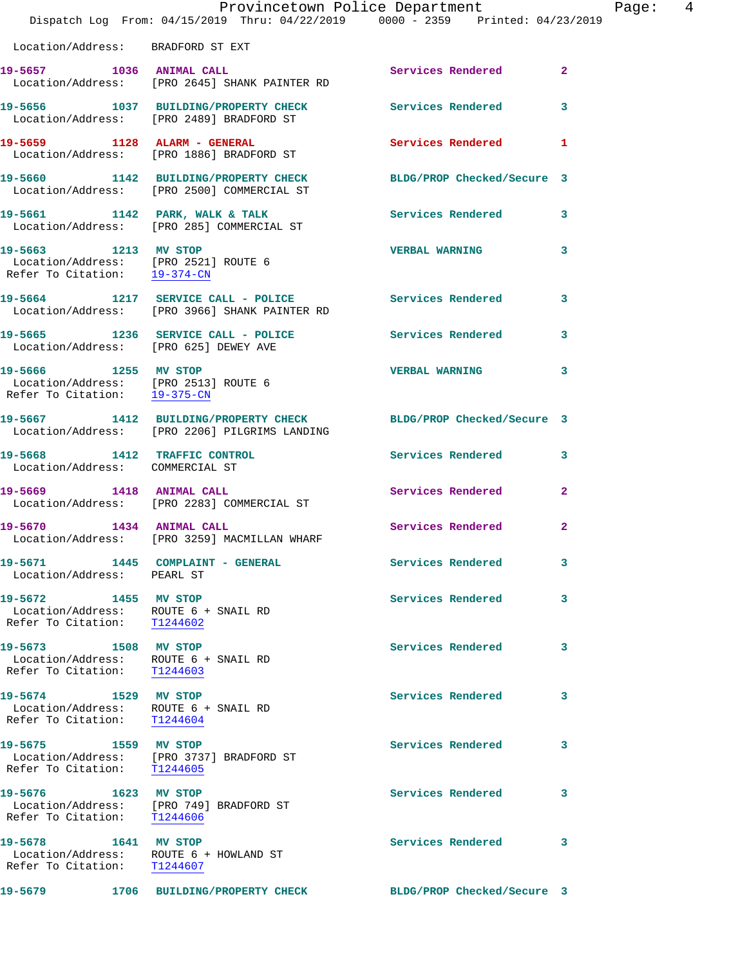|                                                                                              | Dispatch Log From: 04/15/2019 Thru: 04/22/2019 0000 - 2359 Printed: 04/23/2019                                   | Provincetown Police Department | Page: 4        |  |
|----------------------------------------------------------------------------------------------|------------------------------------------------------------------------------------------------------------------|--------------------------------|----------------|--|
| Location/Address: BRADFORD ST EXT                                                            |                                                                                                                  |                                |                |  |
|                                                                                              | 19-5657 1036 ANIMAL CALL<br>Location/Address: [PRO 2645] SHANK PAINTER RD                                        | Services Rendered 2            |                |  |
|                                                                                              | 19-5656 1037 BUILDING/PROPERTY CHECK Services Rendered 3<br>Location/Address: [PRO 2489] BRADFORD ST             |                                |                |  |
|                                                                                              | 19-5659 1128 ALARM - GENERAL<br>Location/Address: [PRO 1886] BRADFORD ST                                         | Services Rendered 1            |                |  |
|                                                                                              | 19-5660 1142 BUILDING/PROPERTY CHECK BLDG/PROP Checked/Secure 3<br>Location/Address: [PRO 2500] COMMERCIAL ST    |                                |                |  |
|                                                                                              |                                                                                                                  | Services Rendered 3            |                |  |
| 19-5663 1213 MV STOP<br>Refer To Citation: 19-374-CN                                         | Location/Address: [PRO 2521] ROUTE 6                                                                             | <b>VERBAL WARNING</b>          | 3              |  |
|                                                                                              | 19-5664 1217 SERVICE CALL - POLICE 3 Services Rendered<br>Location/Address: [PRO 3966] SHANK PAINTER RD          |                                | 3              |  |
|                                                                                              | 19-5665 1236 SERVICE CALL - POLICE 3 Services Rendered 3<br>Location/Address: [PRO 625] DEWEY AVE                |                                |                |  |
| 19-5666 1255 MV STOP<br>Location/Address: [PRO 2513] ROUTE 6<br>Refer To Citation: 19-375-CN |                                                                                                                  | <b>VERBAL WARNING</b>          | 3              |  |
|                                                                                              | 19-5667 1412 BUILDING/PROPERTY CHECK BLDG/PROP Checked/Secure 3<br>Location/Address: [PRO 2206] PILGRIMS LANDING |                                |                |  |
| Location/Address: COMMERCIAL ST                                                              | 19-5668 1412 TRAFFIC CONTROL                                                                                     | Services Rendered 3            |                |  |
|                                                                                              | 19-5669 1418 ANIMAL CALL<br>Location/Address: [PRO 2283] COMMERCIAL ST                                           | Services Rendered              | $\overline{2}$ |  |
|                                                                                              | 19-5670 1434 ANIMAL CALL<br>Location/Address: [PRO 3259] MACMILLAN WHARF                                         | Services Rendered              | $\mathbf{2}$   |  |
| 19-5671 1445 COMPLAINT - GENERAL<br>Location/Address: PEARL ST                               |                                                                                                                  | <b>Services Rendered</b>       | 3              |  |
| 19-5672 1455 MV STOP<br>Location/Address: ROUTE 6 + SNAIL RD<br>Refer To Citation: T1244602  |                                                                                                                  | <b>Services Rendered</b>       | 3              |  |
| 19-5673 1508 MV STOP<br>Location/Address: ROUTE 6 + SNAIL RD<br>Refer To Citation: T1244603  |                                                                                                                  | <b>Services Rendered</b>       | 3              |  |
| 19-5674 1529 MV STOP<br>Location/Address: ROUTE 6 + SNAIL RD<br>Refer To Citation:           | T1244604                                                                                                         | <b>Services Rendered</b>       | 3              |  |
| 19-5675 1559 MV STOP<br>Refer To Citation: T1244605                                          | Location/Address: [PRO 3737] BRADFORD ST                                                                         | Services Rendered              | 3              |  |
| 19-5676 1623 MV STOP<br>Refer To Citation: T1244606                                          | Location/Address: [PRO 749] BRADFORD ST                                                                          | Services Rendered              | 3              |  |
| 19-5678 1641 MV STOP<br>Location/Address: ROUTE 6 + HOWLAND ST<br>Refer To Citation:         | T1244607                                                                                                         | Services Rendered              | 3              |  |
| 19-5679                                                                                      | 1706 BUILDING/PROPERTY CHECK                                                                                     | BLDG/PROP Checked/Secure 3     |                |  |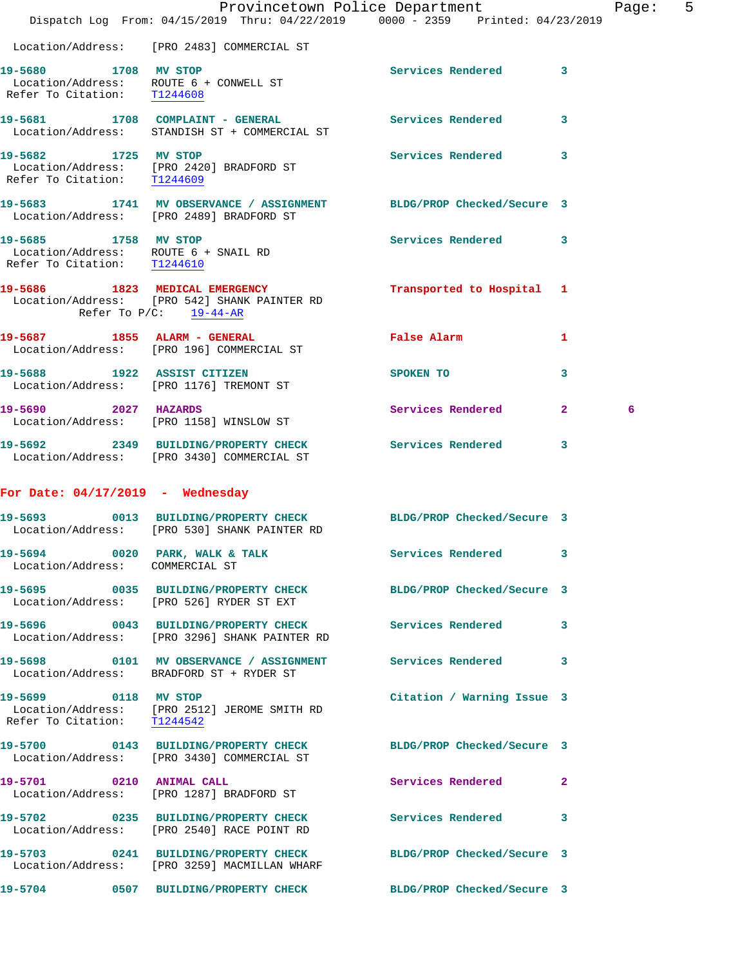|                                                                                             |                                                                                                                 | Provincetown Police Department                                                 | 5<br>Page: |
|---------------------------------------------------------------------------------------------|-----------------------------------------------------------------------------------------------------------------|--------------------------------------------------------------------------------|------------|
|                                                                                             |                                                                                                                 | Dispatch Log From: 04/15/2019 Thru: 04/22/2019 0000 - 2359 Printed: 04/23/2019 |            |
|                                                                                             | Location/Address: [PRO 2483] COMMERCIAL ST                                                                      |                                                                                |            |
| 19-5680 1708 MV STOP                                                                        | Location/Address: ROUTE 6 + CONWELL ST<br>Refer To Citation: T1244608                                           | Services Rendered 3                                                            |            |
|                                                                                             | 19-5681 1708 COMPLAINT - GENERAL<br>Location/Address: STANDISH ST + COMMERCIAL ST                               | <b>Services Rendered</b><br>3                                                  |            |
| 19-5682 1725 MV STOP<br>Refer To Citation: T1244609                                         | Location/Address: [PRO 2420] BRADFORD ST                                                                        | Services Rendered<br>$\mathbf{3}$                                              |            |
|                                                                                             | 19-5683 1741 MV OBSERVANCE / ASSIGNMENT BLDG/PROP Checked/Secure 3<br>Location/Address: [PRO 2489] BRADFORD ST  |                                                                                |            |
| 19-5685 1758 MV STOP<br>Location/Address: ROUTE 6 + SNAIL RD<br>Refer To Citation: T1244610 |                                                                                                                 | Services Rendered 3                                                            |            |
|                                                                                             | 19-5686 1823 MEDICAL EMERGENCY<br>Location/Address: [PRO 542] SHANK PAINTER RD<br>Refer To $P/C$ : 19-44-AR     | Transported to Hospital 1                                                      |            |
|                                                                                             | 19-5687 1855 ALARM - GENERAL<br>Location/Address: [PRO 196] COMMERCIAL ST                                       | False Alarm<br>1                                                               |            |
| 19-5688 1922 ASSIST CITIZEN                                                                 | Location/Address: [PRO 1176] TREMONT ST                                                                         | SPOKEN TO<br>3                                                                 |            |
| 19-5690 2027 HAZARDS                                                                        | Location/Address: [PRO 1158] WINSLOW ST                                                                         | Services Rendered 2                                                            | 6          |
|                                                                                             | 19-5692 2349 BUILDING/PROPERTY CHECK<br>Location/Address: [PRO 3430] COMMERCIAL ST                              | <b>Services Rendered</b><br>3                                                  |            |
| For Date: $04/17/2019$ - Wednesday                                                          |                                                                                                                 |                                                                                |            |
| 19-5693                                                                                     | 0013 BUILDING/PROPERTY CHECK<br>Location/Address: [PRO 530] SHANK PAINTER RD                                    | BLDG/PROP Checked/Secure 3                                                     |            |
| Location/Address: COMMERCIAL ST                                                             | 19-5694 0020 PARK, WALK & TALK                                                                                  | Services Rendered<br>3                                                         |            |
|                                                                                             | 19-5695 0035 BUILDING/PROPERTY CHECK BLDG/PROP Checked/Secure 3<br>Location/Address: [PRO 526] RYDER ST EXT     |                                                                                |            |
|                                                                                             | 19-5696 0043 BUILDING/PROPERTY CHECK Services Rendered 3<br>Location/Address: [PRO 3296] SHANK PAINTER RD       |                                                                                |            |
|                                                                                             | 19-5698 0101 MV OBSERVANCE / ASSIGNMENT Services Rendered 3<br>Location/Address: BRADFORD ST + RYDER ST         |                                                                                |            |
| 19-5699 0118 MV STOP<br>Refer To Citation: T1244542                                         | Location/Address: [PRO 2512] JEROME SMITH RD                                                                    | Citation / Warning Issue 3                                                     |            |
|                                                                                             | 19-5700 0143 BUILDING/PROPERTY CHECK BLDG/PROP Checked/Secure 3<br>Location/Address: [PRO 3430] COMMERCIAL ST   |                                                                                |            |
| 19-5701 0210 ANIMAL CALL                                                                    | Location/Address: [PRO 1287] BRADFORD ST                                                                        | Services Rendered 2                                                            |            |
|                                                                                             | 19-5702 0235 BUILDING/PROPERTY CHECK<br>Location/Address: [PRO 2540] RACE POINT RD                              | Services Rendered 3                                                            |            |
|                                                                                             | 19-5703 0241 BUILDING/PROPERTY CHECK BLDG/PROP Checked/Secure 3<br>Location/Address: [PRO 3259] MACMILLAN WHARF |                                                                                |            |
|                                                                                             | 19-5704 0507 BUILDING/PROPERTY CHECK BLDG/PROP Checked/Secure 3                                                 |                                                                                |            |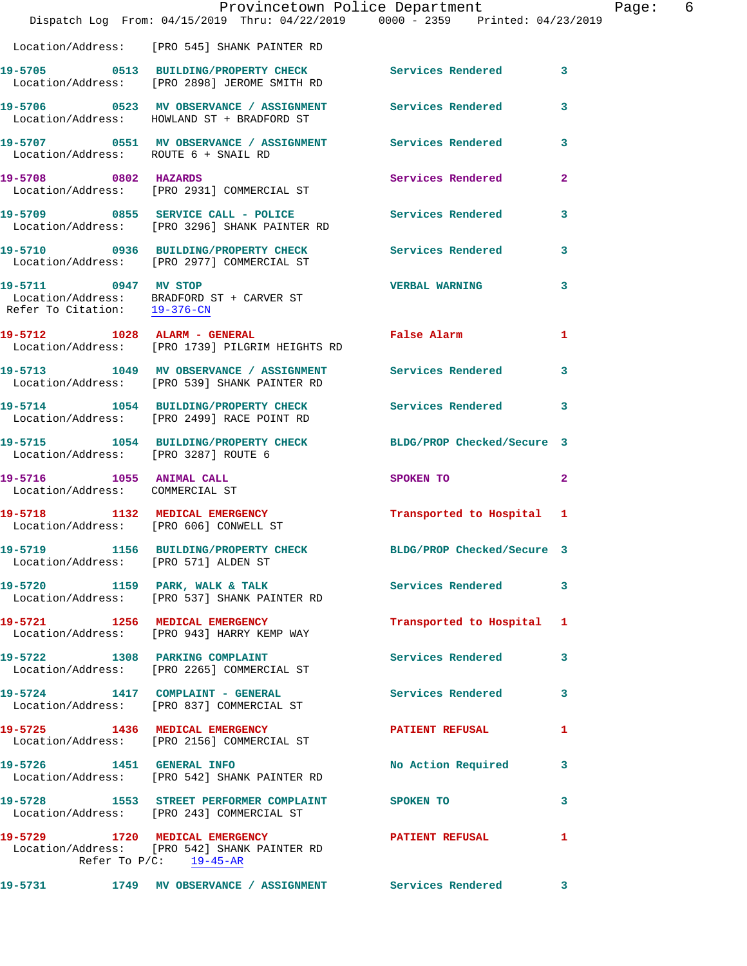|                                                             | Dispatch Log From: 04/15/2019 Thru: 04/22/2019 0000 - 2359 Printed: 04/23/2019                                              | Provincetown Police Department | Page: 6                 |  |
|-------------------------------------------------------------|-----------------------------------------------------------------------------------------------------------------------------|--------------------------------|-------------------------|--|
|                                                             |                                                                                                                             |                                |                         |  |
|                                                             | Location/Address: [PRO 545] SHANK PAINTER RD                                                                                |                                |                         |  |
|                                                             | 19-5705 0513 BUILDING/PROPERTY CHECK Services Rendered 3<br>Location/Address: [PRO 2898] JEROME SMITH RD                    |                                |                         |  |
|                                                             | 19-5706 0523 MV OBSERVANCE / ASSIGNMENT Services Rendered 3<br>Location/Address: HOWLAND ST + BRADFORD ST                   |                                |                         |  |
| Location/Address: ROUTE 6 + SNAIL RD                        | 19-5707 0551 MV OBSERVANCE / ASSIGNMENT Services Rendered 3                                                                 |                                |                         |  |
|                                                             | 19-5708 0802 HAZARDS<br>Location/Address: [PRO 2931] COMMERCIAL ST                                                          | Services Rendered              | $\mathbf{2}$            |  |
|                                                             | 19-5709 0855 SERVICE CALL - POLICE Services Rendered 3<br>Location/Address: [PRO 3296] SHANK PAINTER RD                     |                                |                         |  |
|                                                             | 19-5710 0936 BUILDING/PROPERTY CHECK Services Rendered 3<br>Location/Address: [PRO 2977] COMMERCIAL ST                      |                                |                         |  |
| 19-5711 0947 MV STOP                                        | Location/Address: BRADFORD ST + CARVER ST<br>Refer To Citation: $\frac{19-376-CM}{29-376-CM}$                               | <b>VERBAL WARNING</b>          | $\overline{\mathbf{3}}$ |  |
|                                                             | 19-5712 1028 ALARM - GENERAL False Alarm 1<br>Location/Address: [PRO 1739] PILGRIM HEIGHTS RD                               |                                |                         |  |
|                                                             | 19-5713 1049 MV OBSERVANCE / ASSIGNMENT Services Rendered 3<br>Location/Address: [PRO 539] SHANK PAINTER RD                 |                                |                         |  |
|                                                             | 19-5714 1054 BUILDING/PROPERTY CHECK Services Rendered 3<br>Location/Address: [PRO 2499] RACE POINT RD                      |                                |                         |  |
| Location/Address: [PRO 3287] ROUTE 6                        | 19-5715 1054 BUILDING/PROPERTY CHECK BLDG/PROP Checked/Secure 3                                                             |                                |                         |  |
| 19-5716 1055 ANIMAL CALL<br>Location/Address: COMMERCIAL ST |                                                                                                                             | SPOKEN TO 2                    |                         |  |
|                                                             | 19-5718 1132 MEDICAL EMERGENCY<br>Location/Address: [PRO 606] CONWELL ST                                                    | Transported to Hospital 1      |                         |  |
| Location/Address: [PRO 571] ALDEN ST                        | 19-5719 1156 BUILDING/PROPERTY CHECK                                                                                        | BLDG/PROP Checked/Secure 3     |                         |  |
|                                                             | 19-5720 1159 PARK, WALK & TALK (Services Rendered 3<br>Location/Address: [PRO 537] SHANK PAINTER RD                         |                                |                         |  |
|                                                             | 19-5721 1256 MEDICAL EMERGENCY<br>Location/Address: [PRO 943] HARRY KEMP WAY                                                | Transported to Hospital 1      |                         |  |
|                                                             | 19-5722 1308 PARKING COMPLAINT<br>Location/Address: [PRO 2265] COMMERCIAL ST                                                | Services Rendered 3            |                         |  |
|                                                             | 19-5724 1417 COMPLAINT - GENERAL Services Rendered 3<br>Location/Address: [PRO 837] COMMERCIAL ST                           |                                |                         |  |
|                                                             | 19-5725 1436 MEDICAL EMERGENCY PATIENT REFUSAL<br>Location/Address: [PRO 2156] COMMERCIAL ST                                |                                | 1                       |  |
| 19-5726 1451 GENERAL INFO                                   | Location/Address: [PRO 542] SHANK PAINTER RD                                                                                | No Action Required 3           |                         |  |
|                                                             | 19-5728 1553 STREET PERFORMER COMPLAINT SPOKEN TO<br>Location/Address: [PRO 243] COMMERCIAL ST                              |                                | 3                       |  |
|                                                             | 19-5729 1720 MEDICAL EMERGENCY PATIENT REFUSAL<br>Location/Address: [PRO 542] SHANK PAINTER RD<br>Refer To $P/C$ : 19-45-AR |                                | $\mathbf{1}$            |  |
|                                                             | 19-5731 1749 MV OBSERVANCE / ASSIGNMENT Services Rendered 3                                                                 |                                |                         |  |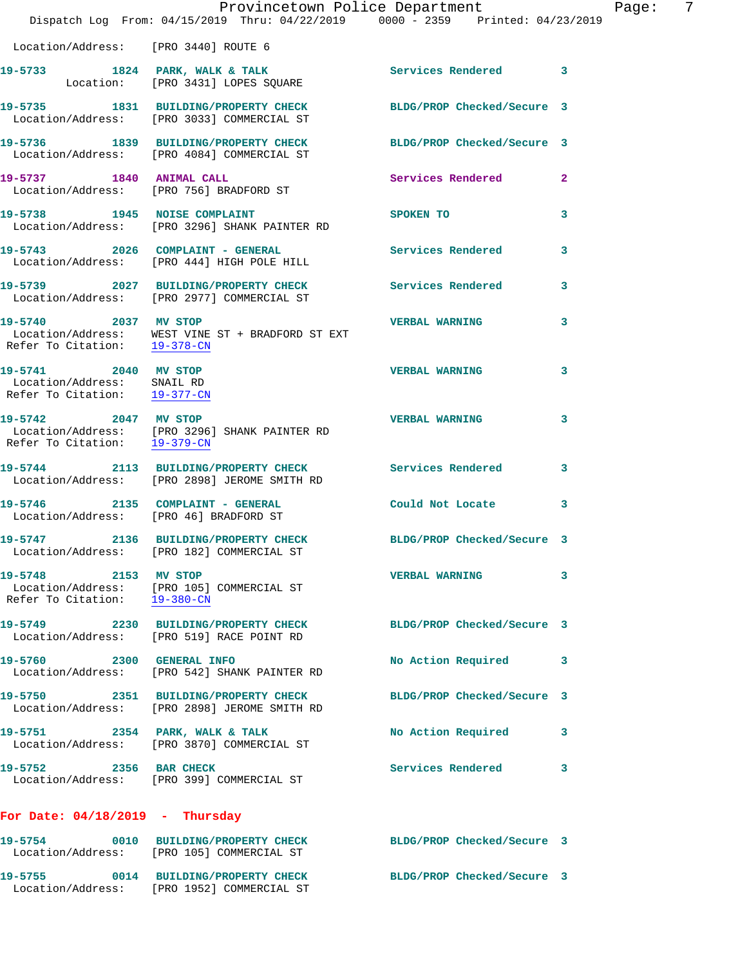|                                                                                    | Dispatch Log From: 04/15/2019 Thru: 04/22/2019 0000 - 2359 Printed: 04/23/2019                                | Provincetown Police Department |              | Page: | 7 |
|------------------------------------------------------------------------------------|---------------------------------------------------------------------------------------------------------------|--------------------------------|--------------|-------|---|
| Location/Address: [PRO 3440] ROUTE 6                                               |                                                                                                               |                                |              |       |   |
|                                                                                    | 19-5733 1824 PARK, WALK & TALK<br>Location: [PRO 3431] LOPES SQUARE                                           | Services Rendered 3            |              |       |   |
|                                                                                    | 19-5735 1831 BUILDING/PROPERTY CHECK<br>Location/Address: [PRO 3033] COMMERCIAL ST                            | BLDG/PROP Checked/Secure 3     |              |       |   |
|                                                                                    | 19-5736 1839 BUILDING/PROPERTY CHECK BLDG/PROP Checked/Secure 3<br>Location/Address: [PRO 4084] COMMERCIAL ST |                                |              |       |   |
|                                                                                    | 19-5737 1840 ANIMAL CALL<br>Location/Address: [PRO 756] BRADFORD ST                                           | Services Rendered              | $\mathbf{2}$ |       |   |
| 19-5738 1945 NOISE COMPLAINT                                                       | Location/Address: [PRO 3296] SHANK PAINTER RD                                                                 | SPOKEN TO                      | 3            |       |   |
|                                                                                    | 19-5743 2026 COMPLAINT - GENERAL<br>Location/Address: [PRO 444] HIGH POLE HILL                                | Services Rendered              | 3            |       |   |
|                                                                                    | 19-5739 2027 BUILDING/PROPERTY CHECK<br>Location/Address: [PRO 2977] COMMERCIAL ST                            | Services Rendered              | 3            |       |   |
| 19-5740 2037 MV STOP<br>Refer To Citation: 19-378-CN                               | Location/Address: WEST VINE ST + BRADFORD ST EXT                                                              | <b>VERBAL WARNING</b>          | 3            |       |   |
| 19-5741 2040 MV STOP<br>Location/Address: SNAIL RD<br>Refer To Citation: 19-377-CN |                                                                                                               | <b>VERBAL WARNING</b>          | 3            |       |   |
| 19-5742 2047 MV STOP<br>Refer To Citation: 19-379-CN                               | Location/Address: [PRO 3296] SHANK PAINTER RD                                                                 | <b>VERBAL WARNING</b>          | 3            |       |   |
|                                                                                    | 19-5744 2113 BUILDING/PROPERTY CHECK Services Rendered<br>Location/Address: [PRO 2898] JEROME SMITH RD        |                                | 3            |       |   |
|                                                                                    | 19-5746 2135 COMPLAINT - GENERAL<br>Location/Address: [PRO 46] BRADFORD ST                                    | Could Not Locate               | 3            |       |   |
|                                                                                    | 19-5747 2136 BUILDING/PROPERTY CHECK BLDG/PROP Checked/Secure 3<br>Location/Address: [PRO 182] COMMERCIAL ST  |                                |              |       |   |
| 19-5748 2153 MV STOP<br>Refer To Citation: 19-380-CN                               | Location/Address: [PRO 105] COMMERCIAL ST                                                                     | VERBAL WARNING 3               |              |       |   |
|                                                                                    | 19-5749 2230 BUILDING/PROPERTY CHECK<br>Location/Address: [PRO 519] RACE POINT RD                             | BLDG/PROP Checked/Secure 3     |              |       |   |
| 19-5760 2300 GENERAL INFO                                                          | Location/Address: [PRO 542] SHANK PAINTER RD                                                                  | No Action Required 3           |              |       |   |
|                                                                                    | 19-5750 2351 BUILDING/PROPERTY CHECK<br>Location/Address: [PRO 2898] JEROME SMITH RD                          | BLDG/PROP Checked/Secure 3     |              |       |   |
|                                                                                    | 19-5751 2354 PARK, WALK & TALK<br>Location/Address: [PRO 3870] COMMERCIAL ST                                  | No Action Required             | 3            |       |   |
| 19-5752 2356 BAR CHECK                                                             | Location/Address: [PRO 399] COMMERCIAL ST                                                                     | Services Rendered              | -3           |       |   |
| For Date: $04/18/2019$ - Thursday                                                  |                                                                                                               |                                |              |       |   |
|                                                                                    | 19-5754 0010 BUILDING/PROPERTY CHECK<br>Location/Address: [PRO 105] COMMERCIAL ST                             | BLDG/PROP Checked/Secure 3     |              |       |   |
|                                                                                    | 19-5755 0014 BUILDING/PROPERTY CHECK                                                                          | BLDG/PROP Checked/Secure 3     |              |       |   |

Location/Address: [PRO 1952] COMMERCIAL ST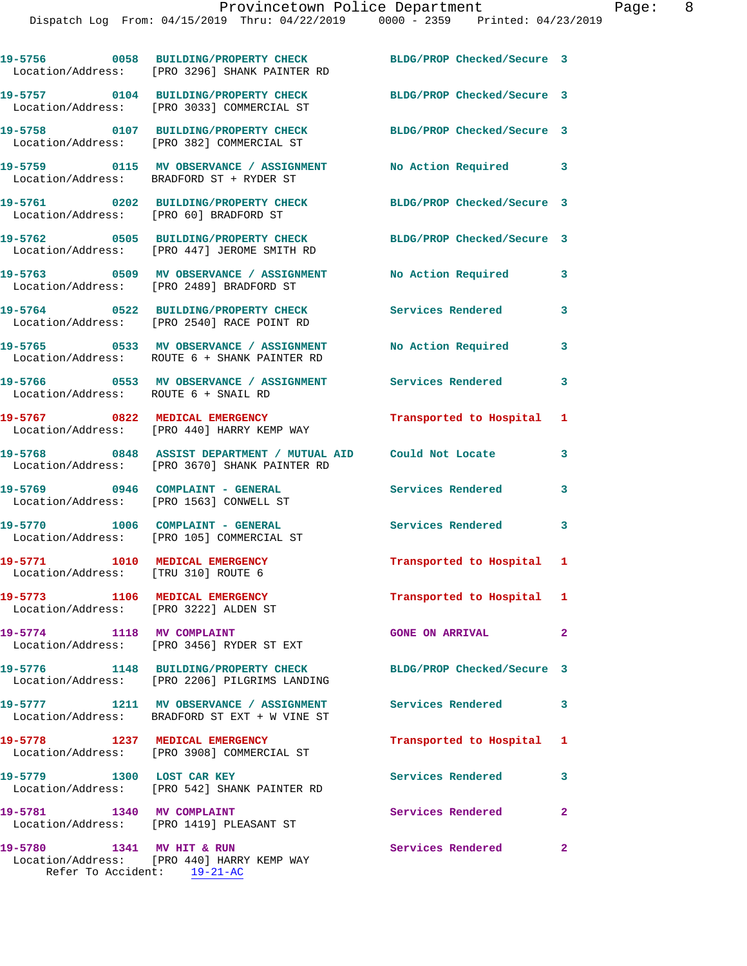|                                                                         | 19-5756 0058 BUILDING/PROPERTY CHECK<br>Location/Address: [PRO 3296] SHANK PAINTER RD                            | BLDG/PROP Checked/Secure 3 |              |
|-------------------------------------------------------------------------|------------------------------------------------------------------------------------------------------------------|----------------------------|--------------|
|                                                                         | 19-5757 0104 BUILDING/PROPERTY CHECK<br>Location/Address: [PRO 3033] COMMERCIAL ST                               | BLDG/PROP Checked/Secure 3 |              |
|                                                                         | 19-5758 0107 BUILDING/PROPERTY CHECK<br>Location/Address: [PRO 382] COMMERCIAL ST                                | BLDG/PROP Checked/Secure 3 |              |
|                                                                         | 19-5759 0115 MV OBSERVANCE / ASSIGNMENT<br>Location/Address: BRADFORD ST + RYDER ST                              | No Action Required 3       |              |
| Location/Address: [PRO 60] BRADFORD ST                                  | 19-5761 0202 BUILDING/PROPERTY CHECK                                                                             | BLDG/PROP Checked/Secure 3 |              |
|                                                                         | 19-5762 0505 BUILDING/PROPERTY CHECK<br>Location/Address: [PRO 447] JEROME SMITH RD                              | BLDG/PROP Checked/Secure 3 |              |
|                                                                         | 19-5763 0509 MV OBSERVANCE / ASSIGNMENT<br>Location/Address: [PRO 2489] BRADFORD ST                              | No Action Required         | 3            |
|                                                                         | 19-5764 0522 BUILDING/PROPERTY CHECK<br>Location/Address: [PRO 2540] RACE POINT RD                               | <b>Services Rendered</b>   | 3            |
|                                                                         | 19-5765 0533 MV OBSERVANCE / ASSIGNMENT<br>Location/Address: ROUTE 6 + SHANK PAINTER RD                          | No Action Required         | 3            |
| Location/Address: ROUTE 6 + SNAIL RD                                    | 19-5766 6553 MV OBSERVANCE / ASSIGNMENT Services Rendered                                                        |                            | $\mathbf{3}$ |
|                                                                         | 19-5767 0822 MEDICAL EMERGENCY<br>Location/Address: [PRO 440] HARRY KEMP WAY                                     | Transported to Hospital 1  |              |
|                                                                         | 19-5768 0848 ASSIST DEPARTMENT / MUTUAL AID Could Not Locate<br>Location/Address: [PRO 3670] SHANK PAINTER RD    |                            | 3            |
|                                                                         | 19-5769 0946 COMPLAINT - GENERAL<br>Location/Address: [PRO 1563] CONWELL ST                                      | Services Rendered          | 3            |
| 19-5770 1006 COMPLAINT - GENERAL                                        | Location/Address: [PRO 105] COMMERCIAL ST                                                                        | Services Rendered          | 3            |
| 19-5771 1010 MEDICAL EMERGENCY<br>Location/Address: [TRU 310] ROUTE 6   |                                                                                                                  | Transported to Hospital 1  |              |
| 19-5773 1106 MEDICAL EMERGENCY<br>Location/Address: [PRO 3222] ALDEN ST |                                                                                                                  | Transported to Hospital 1  |              |
| 19-5774 1118 MV COMPLAINT                                               | Location/Address: [PRO 3456] RYDER ST EXT                                                                        | <b>GONE ON ARRIVAL</b>     | $\mathbf{2}$ |
|                                                                         | 19-5776 1148 BUILDING/PROPERTY CHECK BLDG/PROP Checked/Secure 3<br>Location/Address: [PRO 2206] PILGRIMS LANDING |                            |              |
|                                                                         | 19-5777 1211 MV OBSERVANCE / ASSIGNMENT<br>Location/Address: BRADFORD ST EXT + W VINE ST                         | <b>Services Rendered</b>   | 3            |
| 19-5778 1237 MEDICAL EMERGENCY                                          | Location/Address: [PRO 3908] COMMERCIAL ST                                                                       | Transported to Hospital 1  |              |
| 19-5779 1300 LOST CAR KEY                                               | Location/Address: [PRO 542] SHANK PAINTER RD                                                                     | <b>Services Rendered</b>   | 3            |
| 19-5781 1340 MV COMPLAINT                                               | Location/Address: [PRO 1419] PLEASANT ST                                                                         | Services Rendered          | $\mathbf{2}$ |
| 19-5780                                                                 | 1341 MV HIT & RUN                                                                                                | <b>Services Rendered</b>   | $\mathbf{2}$ |

 Location/Address: [PRO 440] HARRY KEMP WAY Refer To Accident: 19-21-AC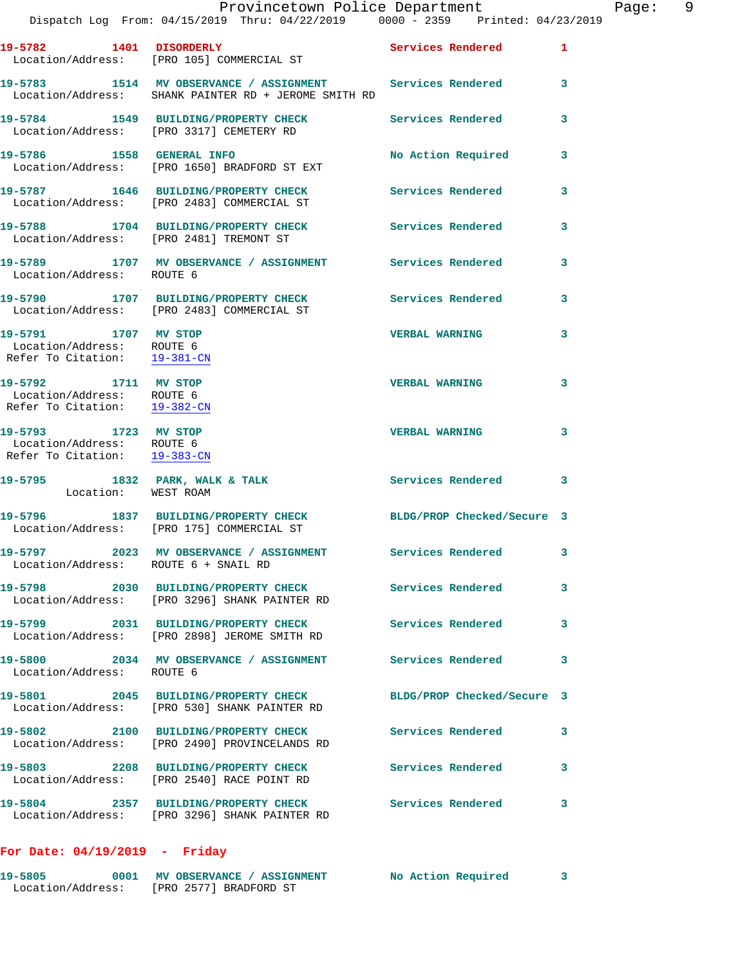|                                                                                   | Provincetown Police Department<br>Dispatch Log From: 04/15/2019 Thru: 04/22/2019 0000 - 2359 Printed: 04/23/2019 |                            | Page: 9 |
|-----------------------------------------------------------------------------------|------------------------------------------------------------------------------------------------------------------|----------------------------|---------|
|                                                                                   | 19-5782 1401 DISORDERLY Services Rendered 1<br>Location/Address: [PRO 105] COMMERCIAL ST                         |                            |         |
|                                                                                   |                                                                                                                  |                            | 3       |
|                                                                                   | 19-5784 1549 BUILDING/PROPERTY CHECK Services Rendered<br>Location/Address: [PRO 3317] CEMETERY RD               |                            | 3       |
|                                                                                   | 19-5786 1558 GENERAL INFO<br>Location/Address: [PRO 1650] BRADFORD ST EXT                                        | No Action Required 3       |         |
|                                                                                   | 19-5787 1646 BUILDING/PROPERTY CHECK Services Rendered<br>Location/Address: [PRO 2483] COMMERCIAL ST             |                            | 3       |
|                                                                                   | 19-5788 1704 BUILDING/PROPERTY CHECK Services Rendered 3<br>Location/Address: [PRO 2481] TREMONT ST              |                            |         |
| Location/Address: ROUTE 6                                                         | 19-5789 1707 MV OBSERVANCE / ASSIGNMENT Services Rendered                                                        |                            | 3       |
|                                                                                   | 19-5790 1707 BUILDING/PROPERTY CHECK Services Rendered<br>Location/Address: [PRO 2483] COMMERCIAL ST             |                            | 3       |
| 19-5791 1707 MV STOP<br>Location/Address: ROUTE 6<br>Refer To Citation: 19-381-CN |                                                                                                                  | <b>VERBAL WARNING</b>      | 3       |
| 19-5792 1711 MV STOP<br>Location/Address: ROUTE 6<br>Refer To Citation: 19-382-CN |                                                                                                                  | <b>VERBAL WARNING</b>      | 3       |
| 19-5793 1723 MV STOP<br>Location/Address: ROUTE 6<br>Refer To Citation: 19-383-CN |                                                                                                                  | <b>VERBAL WARNING</b>      | 3       |
| Location: WEST ROAM                                                               | 19-5795 1832 PARK, WALK & TALK 1998 Services Rendered                                                            |                            | 3       |
|                                                                                   | 19-5796 1837 BUILDING/PROPERTY CHECK BLDG/PROP Checked/Secure 3<br>Location/Address: [PRO 175] COMMERCIAL ST     |                            |         |
| Location/Address: ROUTE 6 + SNAIL RD                                              | 19-5797 2023 MV OBSERVANCE / ASSIGNMENT Services Rendered                                                        |                            | 3       |
|                                                                                   | 19-5798 2030 BUILDING/PROPERTY CHECK<br>Location/Address: [PRO 3296] SHANK PAINTER RD                            | <b>Services Rendered</b>   | 3       |
|                                                                                   | 19-5799 2031 BUILDING/PROPERTY CHECK<br>Location/Address: [PRO 2898] JEROME SMITH RD                             | <b>Services Rendered</b>   | 3       |
| Location/Address: ROUTE 6                                                         | 19-5800 2034 MV OBSERVANCE / ASSIGNMENT Services Rendered                                                        |                            | 3       |
|                                                                                   | 19-5801 2045 BUILDING/PROPERTY CHECK<br>Location/Address: [PRO 530] SHANK PAINTER RD                             | BLDG/PROP Checked/Secure 3 |         |
|                                                                                   | 19-5802 2100 BUILDING/PROPERTY CHECK<br>Location/Address: [PRO 2490] PROVINCELANDS RD                            | Services Rendered          | 3       |
|                                                                                   | 19-5803 2208 BUILDING/PROPERTY CHECK<br>Location/Address: [PRO 2540] RACE POINT RD                               | <b>Services Rendered</b>   | 3       |
|                                                                                   | 19-5804 2357 BUILDING/PROPERTY CHECK<br>Location/Address: [PRO 3296] SHANK PAINTER RD                            | <b>Services Rendered</b>   | 3       |

## **For Date: 04/19/2019 - Friday**

| 19-5805           | No Action Required<br><b>MV OBSERVANCE / ASSIGNMENT</b> |  |
|-------------------|---------------------------------------------------------|--|
| Location/Address: | [PRO 2577] BRADFORD ST                                  |  |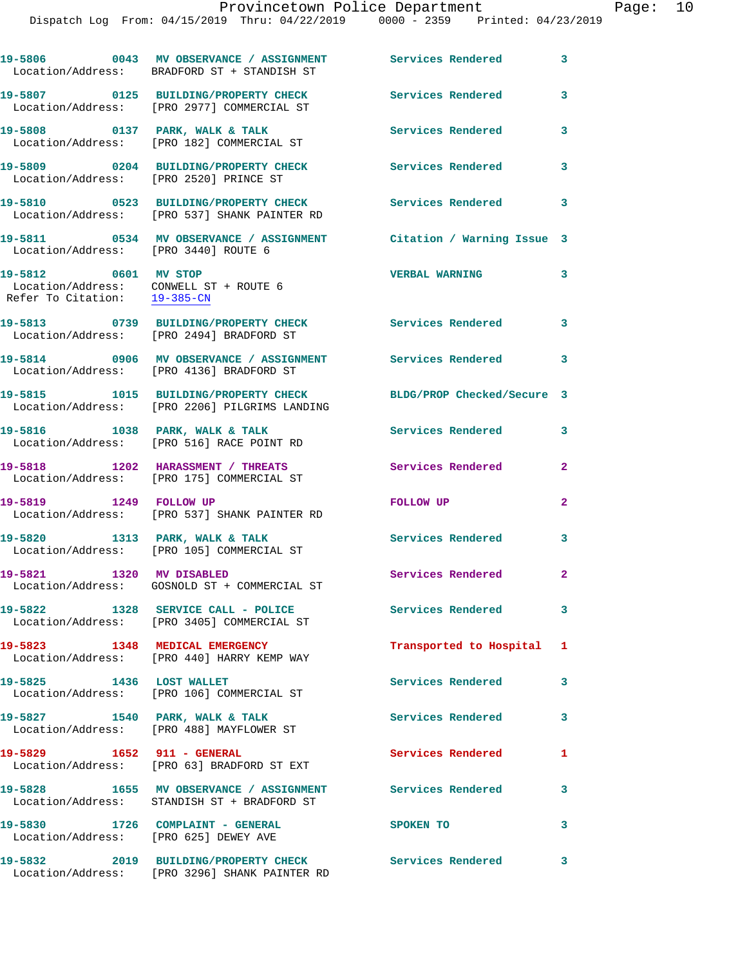|                                                                                                | 19-5806 0043 MV OBSERVANCE / ASSIGNMENT Services Rendered<br>Location/Address: BRADFORD ST + STANDISH ST |                            | $\mathbf{3}$               |
|------------------------------------------------------------------------------------------------|----------------------------------------------------------------------------------------------------------|----------------------------|----------------------------|
|                                                                                                | 19-5807 0125 BUILDING/PROPERTY CHECK<br>Location/Address: [PRO 2977] COMMERCIAL ST                       | <b>Services Rendered</b>   | $\mathbf{3}$               |
|                                                                                                | 19-5808 0137 PARK, WALK & TALK<br>Location/Address: [PRO 182] COMMERCIAL ST                              | Services Rendered          | 3                          |
| Location/Address: [PRO 2520] PRINCE ST                                                         | 19-5809 0204 BUILDING/PROPERTY CHECK                                                                     | Services Rendered          | $\mathbf{3}$               |
|                                                                                                | 19-5810 0523 BUILDING/PROPERTY CHECK<br>Location/Address: [PRO 537] SHANK PAINTER RD                     | <b>Services Rendered</b>   | 3                          |
| Location/Address: [PRO 3440] ROUTE 6                                                           | 19-5811 0534 MV OBSERVANCE / ASSIGNMENT Citation / Warning Issue 3                                       |                            |                            |
| 19-5812 0601 MV STOP<br>Location/Address: CONWELL ST + ROUTE 6<br>Refer To Citation: 19-385-CN |                                                                                                          | <b>VERBAL WARNING</b>      | $\mathbf{3}$               |
|                                                                                                | 19-5813 0739 BUILDING/PROPERTY CHECK<br>Location/Address: [PRO 2494] BRADFORD ST                         | <b>Services Rendered</b>   | $\overline{\phantom{a}}$ 3 |
|                                                                                                | 19-5814 0906 MV OBSERVANCE / ASSIGNMENT<br>Location/Address: [PRO 4136] BRADFORD ST                      | Services Rendered 3        |                            |
|                                                                                                | 19-5815 1015 BUILDING/PROPERTY CHECK<br>Location/Address: [PRO 2206] PILGRIMS LANDING                    | BLDG/PROP Checked/Secure 3 |                            |
|                                                                                                | 19-5816 1038 PARK, WALK & TALK<br>Location/Address: [PRO 516] RACE POINT RD                              | Services Rendered          | 3                          |
|                                                                                                | 19-5818 1202 HARASSMENT / THREATS<br>Location/Address: [PRO 175] COMMERCIAL ST                           | <b>Services Rendered</b>   | $\mathbf{2}$               |
| 19-5819 1249 FOLLOW UP                                                                         | Location/Address: [PRO 537] SHANK PAINTER RD                                                             | FOLLOW UP                  | $\mathbf{2}$               |
|                                                                                                | 19-5820 1313 PARK, WALK & TALK<br>Location/Address: [PRO 105] COMMERCIAL ST                              | <b>Services Rendered</b>   | 3                          |
| 19-5821 1320 MV DISABLED                                                                       | Location/Address: GOSNOLD ST + COMMERCIAL ST                                                             | Services Rendered 2        |                            |
|                                                                                                | 19-5822 1328 SERVICE CALL - POLICE<br>Location/Address: [PRO 3405] COMMERCIAL ST                         | <b>Services Rendered</b>   | $\mathbf{3}$               |
|                                                                                                | 19-5823 1348 MEDICAL EMERGENCY<br>Location/Address: [PRO 440] HARRY KEMP WAY                             | Transported to Hospital 1  |                            |
| 19-5825 1436 LOST WALLET                                                                       | Location/Address: [PRO 106] COMMERCIAL ST                                                                | <b>Services Rendered</b>   | 3                          |
| 19-5827 1540 PARK, WALK & TALK                                                                 | Location/Address: [PRO 488] MAYFLOWER ST                                                                 | <b>Services Rendered</b>   | 3                          |
|                                                                                                | 19-5829 1652 911 - GENERAL<br>Location/Address: [PRO 63] BRADFORD ST EXT                                 | <b>Services Rendered</b>   | 1                          |
|                                                                                                | 19-5828 1655 MV OBSERVANCE / ASSIGNMENT Services Rendered<br>Location/Address: STANDISH ST + BRADFORD ST |                            | $\mathbf{3}$               |
| Location/Address: [PRO 625] DEWEY AVE                                                          | 19-5830 1726 COMPLAINT - GENERAL                                                                         | SPOKEN TO                  | 3                          |
| 19-5832                                                                                        | 2019 BUILDING/PROPERTY CHECK                                                                             | <b>Services Rendered</b>   | $\mathbf{3}$               |

Location/Address: [PRO 3296] SHANK PAINTER RD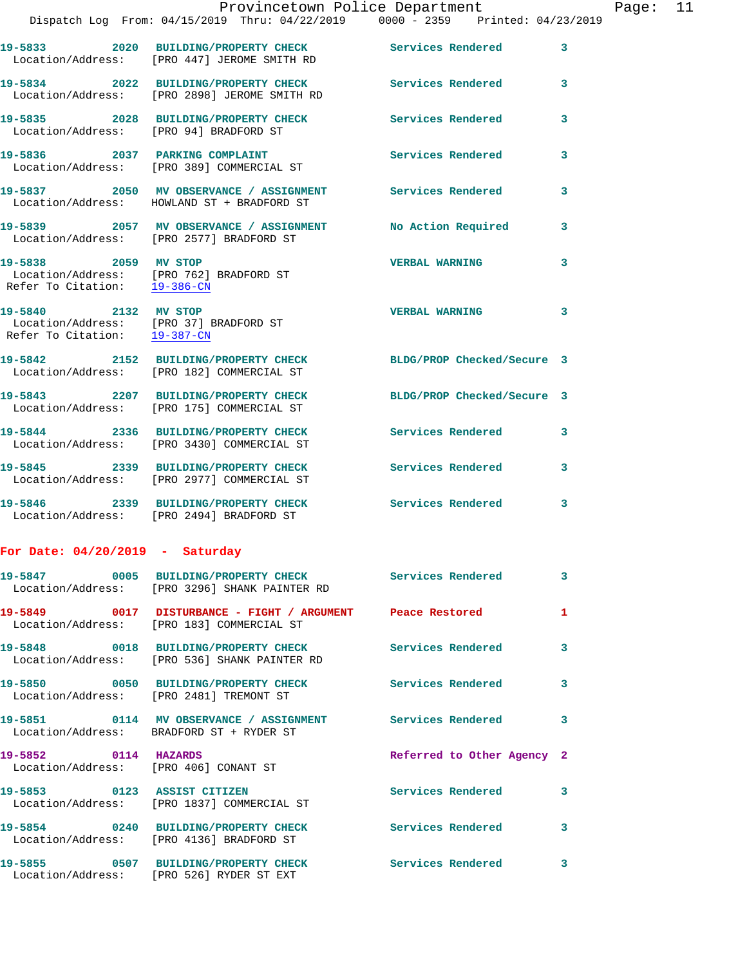|                                   | Dispatch Log From: 04/15/2019 Thru: 04/22/2019 0000 - 2359 Printed: 04/23/2019                               | Provincetown Police Department |              | Page: 11 |  |
|-----------------------------------|--------------------------------------------------------------------------------------------------------------|--------------------------------|--------------|----------|--|
|                                   | 19-5833 2020 BUILDING/PROPERTY CHECK Services Rendered 3<br>Location/Address: [PRO 447] JEROME SMITH RD      |                                |              |          |  |
|                                   | 19-5834 2022 BUILDING/PROPERTY CHECK Services Rendered 3<br>Location/Address: [PRO 2898] JEROME SMITH RD     |                                |              |          |  |
|                                   | 19-5835 2028 BUILDING/PROPERTY CHECK Services Rendered<br>Location/Address: [PRO 94] BRADFORD ST             |                                | 3            |          |  |
|                                   | 19-5836 2037 PARKING COMPLAINT<br>Location/Address: [PRO 389] COMMERCIAL ST                                  | Services Rendered              | 3            |          |  |
|                                   | 19-5837 2050 MV OBSERVANCE / ASSIGNMENT Services Rendered<br>Location/Address: HOWLAND ST + BRADFORD ST      |                                | 3            |          |  |
|                                   | 19-5839 2057 MV OBSERVANCE / ASSIGNMENT No Action Required<br>Location/Address: [PRO 2577] BRADFORD ST       |                                | $\mathbf{3}$ |          |  |
| 19-5838 2059 MV STOP              | Location/Address: [PRO 762] BRADFORD ST<br>Refer To Citation: $\frac{19-386-CN}{\sqrt{10}}$                  | <b>VERBAL WARNING</b>          | 3            |          |  |
| 19-5840 2132 MV STOP              | Location/Address: [PRO 37] BRADFORD ST<br>Refer To Citation: 19-387-CN                                       | <b>VERBAL WARNING</b>          | 3            |          |  |
|                                   | 19-5842 2152 BUILDING/PROPERTY CHECK BLDG/PROP Checked/Secure 3<br>Location/Address: [PRO 182] COMMERCIAL ST |                                |              |          |  |
|                                   | 19-5843 2207 BUILDING/PROPERTY CHECK<br>Location/Address: [PRO 175] COMMERCIAL ST                            | BLDG/PROP Checked/Secure 3     |              |          |  |
|                                   | 19-5844 2336 BUILDING/PROPERTY CHECK Services Rendered<br>Location/Address: [PRO 3430] COMMERCIAL ST         |                                | 3            |          |  |
|                                   | 19-5845 2339 BUILDING/PROPERTY CHECK Services Rendered 3<br>Location/Address: [PRO 2977] COMMERCIAL ST       |                                |              |          |  |
|                                   | 19-5846 2339 BUILDING/PROPERTY CHECK<br>Location/Address: [PRO 2494] BRADFORD ST                             | Services Rendered              | 3            |          |  |
| For Date: $04/20/2019$ - Saturday |                                                                                                              |                                |              |          |  |
|                                   | 19-5847 0005 BUILDING/PROPERTY CHECK<br>Location/Address: [PRO 3296] SHANK PAINTER RD                        | <b>Services Rendered</b>       | 3            |          |  |
|                                   | 19-5849 0017 DISTURBANCE - FIGHT / ARGUMENT<br>Location/Address: [PRO 183] COMMERCIAL ST                     | Peace Restored                 | 1            |          |  |
| 19-5848                           | 0018 BUILDING/PROPERTY CHECK<br>Location/Address: [PRO 536] SHANK PAINTER RD                                 | <b>Services Rendered</b>       | 3            |          |  |
|                                   |                                                                                                              |                                |              |          |  |

**19-5850 0050 BUILDING/PROPERTY CHECK Services Rendered 3**  Location/Address: [PRO 2481] TREMONT ST

**19-5851 0114 MV OBSERVANCE / ASSIGNMENT Services Rendered 3**  Location/Address: BRADFORD ST + RYDER ST

**19-5852 0114 HAZARDS Referred to Other Agency 2** 

Location/Address: [PRO 4136] BRADFORD ST

Location/Address: [PRO 526] RYDER ST EXT

Location/Address: [PRO 406] CONANT ST

**19-5853 0123 ASSIST CITIZEN Services Rendered 3**  Location/Address: [PRO 1837] COMMERCIAL ST

**19-5854 0240 BUILDING/PROPERTY CHECK Services Rendered 3** 

**19-5855 0507 BUILDING/PROPERTY CHECK Services Rendered 3**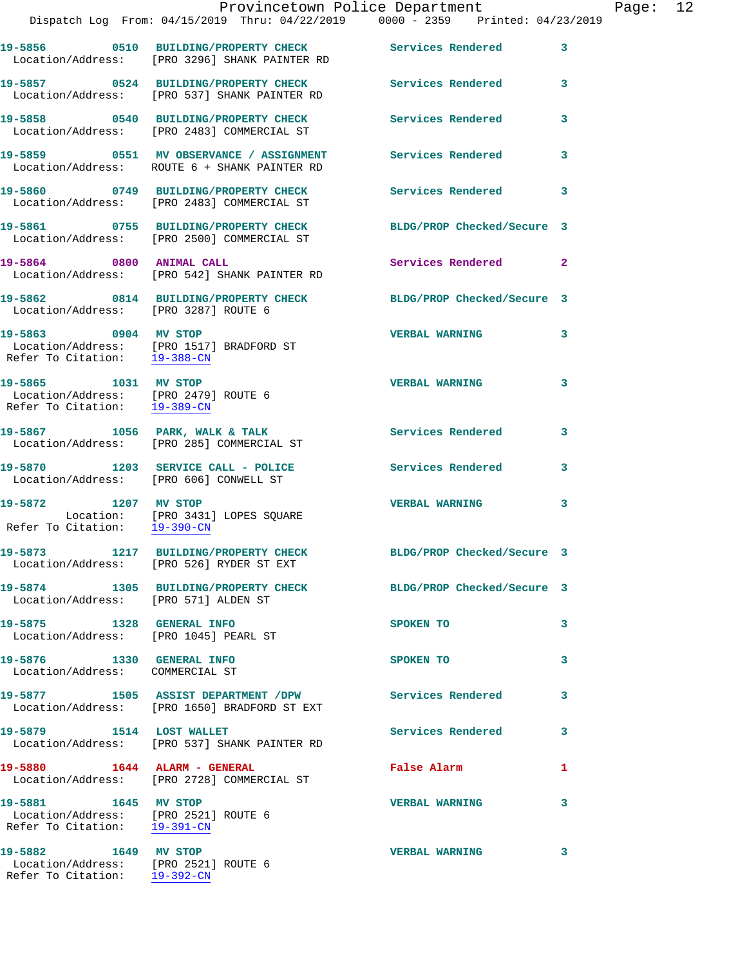|                                                                                                                  | Dispatch Log From: 04/15/2019 Thru: 04/22/2019 0000 - 2359 Printed: 04/23/2019                                | Provincetown Police Department |   | Page: 12 |  |
|------------------------------------------------------------------------------------------------------------------|---------------------------------------------------------------------------------------------------------------|--------------------------------|---|----------|--|
|                                                                                                                  | 19-5856 0510 BUILDING/PROPERTY CHECK Services Rendered 3<br>Location/Address: [PRO 3296] SHANK PAINTER RD     |                                |   |          |  |
|                                                                                                                  | 19-5857 0524 BUILDING/PROPERTY CHECK Services Rendered 3<br>Location/Address: [PRO 537] SHANK PAINTER RD      |                                |   |          |  |
|                                                                                                                  | 19-5858 0540 BUILDING/PROPERTY CHECK Services Rendered 3<br>Location/Address: [PRO 2483] COMMERCIAL ST        |                                |   |          |  |
|                                                                                                                  | 19-5859 0551 MV OBSERVANCE / ASSIGNMENT Services Rendered 3<br>Location/Address: ROUTE 6 + SHANK PAINTER RD   |                                |   |          |  |
|                                                                                                                  | 19-5860 0749 BUILDING/PROPERTY CHECK<br>Location/Address: [PRO 2483] COMMERCIAL ST                            | Services Rendered 3            |   |          |  |
|                                                                                                                  | 19-5861 0755 BUILDING/PROPERTY CHECK BLDG/PROP Checked/Secure 3<br>Location/Address: [PRO 2500] COMMERCIAL ST |                                |   |          |  |
|                                                                                                                  | 19-5864 0800 ANIMAL CALL<br>Location/Address: [PRO 542] SHANK PAINTER RD                                      | Services Rendered 2            |   |          |  |
| Location/Address: [PRO 3287] ROUTE 6                                                                             | 19-5862 0814 BUILDING/PROPERTY CHECK BLDG/PROP Checked/Secure 3                                               |                                |   |          |  |
| 19-5863 0904 MV STOP                                                                                             | Location/Address: [PRO 1517] BRADFORD ST<br>Refer To Citation: $\frac{19-388-CN}{2}$                          | VERBAL WARNING 3               |   |          |  |
| 19-5865 1031 MV STOP<br>Location/Address: [PRO 2479] ROUTE 6<br>Refer To Citation: $\frac{19-389-CN}{29-389-CN}$ |                                                                                                               | <b>VERBAL WARNING</b>          | 3 |          |  |
|                                                                                                                  | 19-5867 1056 PARK, WALK & TALK<br>Location/Address: [PRO 285] COMMERCIAL ST                                   | Services Rendered              | 3 |          |  |
|                                                                                                                  | 19-5870 1203 SERVICE CALL - POLICE<br>Location/Address: [PRO 606] CONWELL ST                                  | Services Rendered 3            |   |          |  |
| 19-5872 1207 MV STOP<br>Refer To Citation: 19-390-CN                                                             | Location: [PRO 3431] LOPES SQUARE                                                                             | <b>VERBAL WARNING</b>          | 3 |          |  |
|                                                                                                                  | 19-5873 1217 BUILDING/PROPERTY CHECK<br>Location/Address: [PRO 526] RYDER ST EXT                              | BLDG/PROP Checked/Secure 3     |   |          |  |
| Location/Address: [PRO 571] ALDEN ST                                                                             | 19-5874 1305 BUILDING/PROPERTY CHECK BLDG/PROP Checked/Secure 3                                               |                                |   |          |  |
| 19-5875 1328 GENERAL INFO<br>Location/Address: [PRO 1045] PEARL ST                                               |                                                                                                               | SPOKEN TO                      | 3 |          |  |
| 19-5876 1330 GENERAL INFO<br>Location/Address: COMMERCIAL ST                                                     |                                                                                                               | SPOKEN TO                      | 3 |          |  |
|                                                                                                                  | 19-5877 1505 ASSIST DEPARTMENT / DPW Services Rendered<br>Location/Address: [PRO 1650] BRADFORD ST EXT        |                                | 3 |          |  |
| 19-5879 1514 LOST WALLET                                                                                         | Location/Address: [PRO 537] SHANK PAINTER RD                                                                  | Services Rendered              | 3 |          |  |
|                                                                                                                  | 19-5880 1644 ALARM - GENERAL<br>Location/Address: [PRO 2728] COMMERCIAL ST                                    | False Alarm                    | 1 |          |  |
| 19-5881 1645 MV STOP<br>Location/Address: [PRO 2521] ROUTE 6<br>Refer To Citation: 19-391-CN                     |                                                                                                               | <b>VERBAL WARNING</b>          | 3 |          |  |
| 19-5882 1649 MV STOP<br>Location/Address: [PRO 2521] ROUTE 6<br>Refer To Citation: 19-392-CN                     |                                                                                                               | <b>VERBAL WARNING</b>          | 3 |          |  |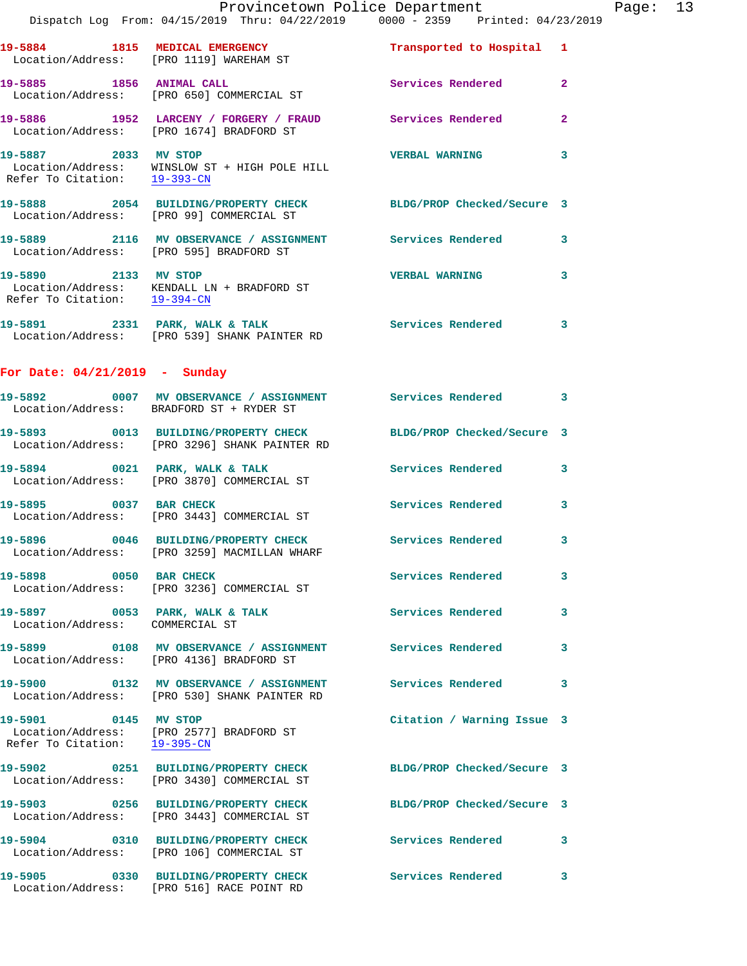|                                                      | Provincetown Police Department<br>Dispatch Log From: 04/15/2019 Thru: 04/22/2019 0000 - 2359 Printed: 04/23/2019 |                            |                |
|------------------------------------------------------|------------------------------------------------------------------------------------------------------------------|----------------------------|----------------|
|                                                      | 19-5884 1815 MEDICAL EMERGENCY<br>Location/Address: [PRO 1119] WAREHAM ST                                        | Transported to Hospital 1  |                |
| 19-5885 1856 ANIMAL CALL                             | Location/Address: [PRO 650] COMMERCIAL ST                                                                        | Services Rendered          | $\overline{a}$ |
|                                                      | 19-5886 1952 LARCENY / FORGERY / FRAUD<br>Location/Address: [PRO 1674] BRADFORD ST                               | Services Rendered          | $\mathbf{2}$   |
| 19-5887 2033 MV STOP                                 | Location/Address: WINSLOW ST + HIGH POLE HILL<br>Refer To Citation: $\frac{19-393-CN}{2}$                        | <b>VERBAL WARNING</b>      | 3              |
|                                                      | 19-5888 2054 BUILDING/PROPERTY CHECK BLDG/PROP Checked/Secure 3<br>Location/Address: [PRO 99] COMMERCIAL ST      |                            |                |
|                                                      | 19-5889 2116 MV OBSERVANCE / ASSIGNMENT Services Rendered<br>Location/Address: [PRO 595] BRADFORD ST             |                            | 3              |
| 19-5890 2133 MV STOP<br>Refer To Citation: 19-394-CN | Location/Address: KENDALL LN + BRADFORD ST                                                                       | <b>VERBAL WARNING</b>      | 3              |
|                                                      | 19-5891 2331 PARK, WALK & TALK<br>Location/Address: [PRO 539] SHANK PAINTER RD                                   | Services Rendered          | 3              |
| For Date: $04/21/2019$ - Sunday                      |                                                                                                                  |                            |                |
|                                                      | 19-5892 0007 MV OBSERVANCE / ASSIGNMENT Services Rendered<br>Location/Address: BRADFORD ST + RYDER ST            |                            | 3              |
|                                                      | 19-5893 0013 BUILDING/PROPERTY CHECK<br>Location/Address: [PRO 3296] SHANK PAINTER RD                            | BLDG/PROP Checked/Secure 3 |                |
|                                                      | $19-5894$ 0021 PARK, WALK & TALK<br>Location/Address: [PRO 3870] COMMERCIAL ST                                   | Services Rendered          | 3              |
| 19-5895 0037 BAR CHECK                               | Location/Address: [PRO 3443] COMMERCIAL ST                                                                       | <b>Services Rendered</b>   | 3              |
| 19-5896<br>0046                                      | <b>BUILDING/PROPERTY CHECK</b><br>Location/Address: [PRO 3259] MACMILLAN WHARF                                   | Services Rendered          | 3              |
| 19-5898 0050 BAR CHECK                               | Location/Address: [PRO 3236] COMMERCIAL ST                                                                       | <b>Services Rendered</b>   | 3              |
| Location/Address: COMMERCIAL ST                      | 19-5897 0053 PARK, WALK & TALK                                                                                   | Services Rendered          | 3              |
|                                                      | Location/Address: [PRO 4136] BRADFORD ST                                                                         |                            | 3              |
|                                                      | 19-5900 0132 MV OBSERVANCE / ASSIGNMENT Services Rendered<br>Location/Address: [PRO 530] SHANK PAINTER RD        |                            | 3              |
| 19-5901 0145 MV STOP<br>Refer To Citation: 19-395-CN | Location/Address: [PRO 2577] BRADFORD ST                                                                         | Citation / Warning Issue 3 |                |
|                                                      | 19-5902 0251 BUILDING/PROPERTY CHECK<br>Location/Address: [PRO 3430] COMMERCIAL ST                               | BLDG/PROP Checked/Secure 3 |                |
|                                                      | 19-5903 0256 BUILDING/PROPERTY CHECK<br>Location/Address: [PRO 3443] COMMERCIAL ST                               | BLDG/PROP Checked/Secure 3 |                |
|                                                      | 19-5904 0310 BUILDING/PROPERTY CHECK<br>Location/Address: [PRO 106] COMMERCIAL ST                                | <b>Services Rendered</b>   | 3              |
|                                                      | 19-5905 0330 BUILDING/PROPERTY CHECK<br>Location/Address: [PRO 516] RACE POINT RD                                | Services Rendered          | 3              |

Page: 13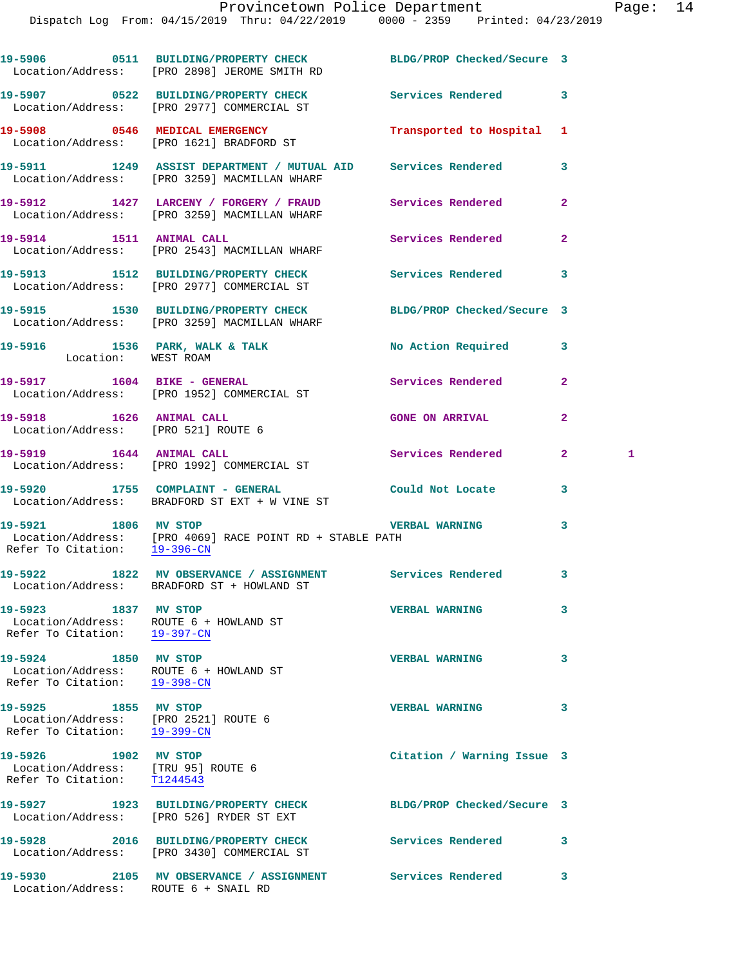|                                                                                                | 19-5906 0511 BUILDING/PROPERTY CHECK BLDG/PROP Checked/Secure 3<br>Location/Address: [PRO 2898] JEROME SMITH RD |                            |                   |
|------------------------------------------------------------------------------------------------|-----------------------------------------------------------------------------------------------------------------|----------------------------|-------------------|
|                                                                                                | 19-5907 0522 BUILDING/PROPERTY CHECK<br>Location/Address: [PRO 2977] COMMERCIAL ST                              | Services Rendered          | 3                 |
|                                                                                                | 19-5908 0546 MEDICAL EMERGENCY<br>Location/Address: [PRO 1621] BRADFORD ST                                      | Transported to Hospital 1  |                   |
|                                                                                                | 19-5911 1249 ASSIST DEPARTMENT / MUTUAL AID Services Rendered<br>Location/Address: [PRO 3259] MACMILLAN WHARF   |                            | 3                 |
|                                                                                                | 19-5912 1427 LARCENY / FORGERY / FRAUD Services Rendered<br>Location/Address: [PRO 3259] MACMILLAN WHARF        |                            | $\mathbf{2}$      |
|                                                                                                | 19-5914 1511 ANIMAL CALL<br>Location/Address: [PRO 2543] MACMILLAN WHARF                                        | Services Rendered          | $\overline{2}$    |
|                                                                                                | 19-5913 1512 BUILDING/PROPERTY CHECK Services Rendered<br>Location/Address: [PRO 2977] COMMERCIAL ST            |                            | 3                 |
|                                                                                                | 19-5915 1530 BUILDING/PROPERTY CHECK BLDG/PROP Checked/Secure 3<br>Location/Address: [PRO 3259] MACMILLAN WHARF |                            |                   |
| Location: WEST ROAM                                                                            | 19-5916 1536 PARK, WALK & TALK 1999 No Action Required                                                          |                            | 3                 |
|                                                                                                | 19-5917 1604 BIKE - GENERAL<br>Location/Address: [PRO 1952] COMMERCIAL ST                                       | Services Rendered          | $\mathbf{2}$      |
| 19-5918 1626 ANIMAL CALL<br>Location/Address: [PRO 521] ROUTE 6                                |                                                                                                                 | <b>GONE ON ARRIVAL</b>     | $\mathbf{2}$      |
|                                                                                                | 19-5919 1644 ANIMAL CALL<br>Location/Address: [PRO 1992] COMMERCIAL ST                                          | Services Rendered          | $\mathbf{2}$<br>1 |
|                                                                                                | 19-5920 1755 COMPLAINT - GENERAL<br>Location/Address: BRADFORD ST EXT + W VINE ST                               | Could Not Locate           | 3                 |
| 19-5921 1806 MV STOP<br>Refer To Citation: 19-396-CN                                           | Location/Address: [PRO 4069] RACE POINT RD + STABLE PATH                                                        | <b>VERBAL WARNING</b>      | 3                 |
|                                                                                                | 19-5922 1822 MV OBSERVANCE / ASSIGNMENT Services Rendered 3<br>Location/Address: BRADFORD ST + HOWLAND ST       |                            |                   |
| 19-5923 1837 MV STOP                                                                           | Location/Address: ROUTE 6 + HOWLAND ST<br>Refer To Citation: 19-397-CN                                          | <b>VERBAL WARNING</b>      | 3                 |
| 19-5924 1850 MV STOP<br>Location/Address: ROUTE 6 + HOWLAND ST<br>Refer To Citation: 19-398-CN |                                                                                                                 | <b>VERBAL WARNING</b>      | 3                 |
| 19-5925 1855 MV STOP<br>Location/Address: [PRO 2521] ROUTE 6<br>Refer To Citation: 19-399-CN   |                                                                                                                 | <b>VERBAL WARNING</b>      | 3                 |
| 19-5926 1902 MV STOP<br>Location/Address: [TRU 95] ROUTE 6<br>Refer To Citation: T1244543      |                                                                                                                 | Citation / Warning Issue 3 |                   |
|                                                                                                | 19-5927 1923 BUILDING/PROPERTY CHECK<br>Location/Address: [PRO 526] RYDER ST EXT                                | BLDG/PROP Checked/Secure 3 |                   |
|                                                                                                | 19-5928 2016 BUILDING/PROPERTY CHECK<br>Location/Address: [PRO 3430] COMMERCIAL ST                              | <b>Services Rendered</b>   | 3                 |
| Location/Address: ROUTE 6 + SNAIL RD                                                           |                                                                                                                 |                            | 3                 |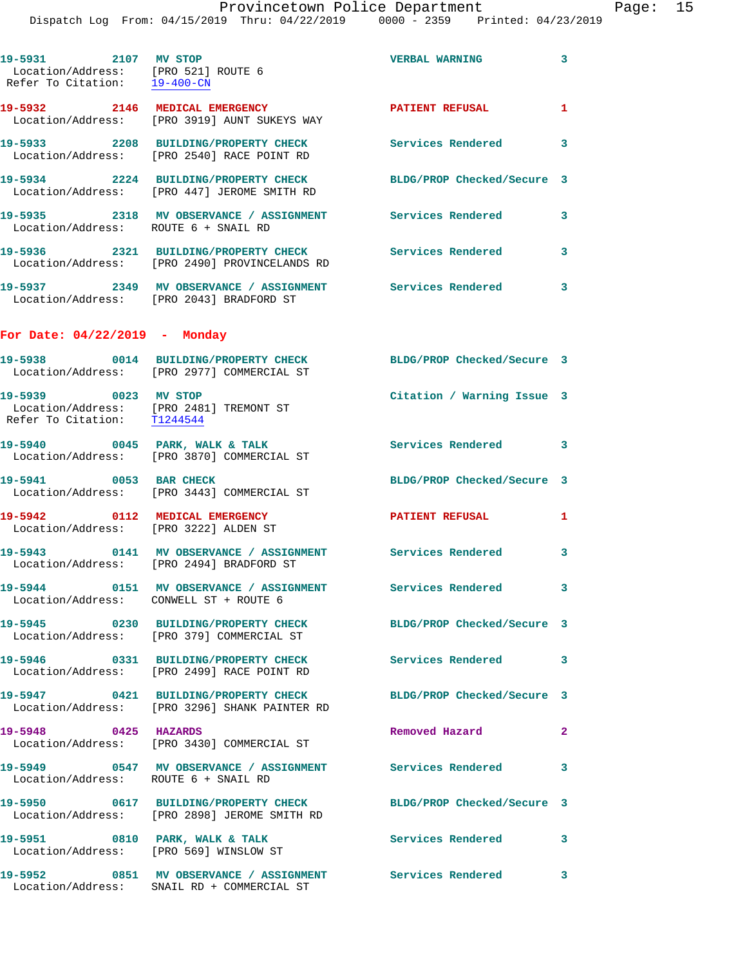|                                                                                                | Dispatch Log From: 04/15/2019 Thru: 04/22/2019 0000 - 2359 Printed: 04/23/2019                          |                            |              |
|------------------------------------------------------------------------------------------------|---------------------------------------------------------------------------------------------------------|----------------------------|--------------|
| 19-5931 2107 MV STOP<br>Location/Address: [PRO 521] ROUTE 6<br>Refer To Citation: 19-400-CN    |                                                                                                         | <b>VERBAL WARNING</b>      | 3            |
|                                                                                                | 19-5932 2146 MEDICAL EMERGENCY<br>Location/Address: [PRO 3919] AUNT SUKEYS WAY                          | <b>PATIENT REFUSAL</b>     | 1            |
|                                                                                                | 19-5933 2208 BUILDING/PROPERTY CHECK<br>Location/Address: [PRO 2540] RACE POINT RD                      | <b>Services Rendered</b>   | 3            |
|                                                                                                | 19-5934 2224 BUILDING/PROPERTY CHECK<br>Location/Address: [PRO 447] JEROME SMITH RD                     | BLDG/PROP Checked/Secure 3 |              |
| Location/Address: ROUTE 6 + SNAIL RD                                                           | 19-5935 2318 MV OBSERVANCE / ASSIGNMENT Services Rendered                                               |                            | 3            |
|                                                                                                | 19-5936 2321 BUILDING/PROPERTY CHECK<br>Location/Address: [PRO 2490] PROVINCELANDS RD                   | <b>Services Rendered</b>   | 3            |
|                                                                                                | Location/Address: [PRO 2043] BRADFORD ST                                                                |                            | 3            |
| For Date: $04/22/2019$ - Monday                                                                |                                                                                                         |                            |              |
|                                                                                                | 19-5938 0014 BUILDING/PROPERTY CHECK<br>Location/Address: [PRO 2977] COMMERCIAL ST                      | BLDG/PROP Checked/Secure 3 |              |
| 19-5939 0023 MV STOP<br>Location/Address: [PRO 2481] TREMONT ST<br>Refer To Citation: T1244544 |                                                                                                         | Citation / Warning Issue 3 |              |
|                                                                                                | $19-5940$ 0045 PARK, WALK & TALK<br>Location/Address: [PRO 3870] COMMERCIAL ST                          | <b>Services Rendered</b>   | 3            |
| 0053 BAR CHECK<br>19-5941                                                                      | Location/Address: [PRO 3443] COMMERCIAL ST                                                              | BLDG/PROP Checked/Secure 3 |              |
| 19-5942 0112 MEDICAL EMERGENCY<br>Location/Address: [PRO 3222] ALDEN ST                        |                                                                                                         | <b>PATIENT REFUSAL</b>     | 1            |
| 19-5943                                                                                        | 0141 MV OBSERVANCE / ASSIGNMENT Services Rendered<br>Location/Address: [PRO 2494] BRADFORD ST           |                            | 3            |
| Location/Address: CONWELL ST + ROUTE 6                                                         | 19-5944 0151 MV OBSERVANCE / ASSIGNMENT Services Rendered                                               |                            | 3            |
|                                                                                                | Location/Address: [PRO 379] COMMERCIAL ST                                                               | BLDG/PROP Checked/Secure 3 |              |
|                                                                                                | 19-5946 0331 BUILDING/PROPERTY CHECK<br>Location/Address: [PRO 2499] RACE POINT RD                      | <b>Services Rendered</b>   | 3            |
|                                                                                                | 19-5947 0421 BUILDING/PROPERTY CHECK<br>Location/Address: [PRO 3296] SHANK PAINTER RD                   | BLDG/PROP Checked/Secure 3 |              |
| 19-5948 0425 HAZARDS                                                                           | Location/Address: [PRO 3430] COMMERCIAL ST                                                              | Removed Hazard             | $\mathbf{2}$ |
| Location/Address: ROUTE 6 + SNAIL RD                                                           | 19-5949 0547 MV OBSERVANCE / ASSIGNMENT Services Rendered                                               |                            | 3            |
|                                                                                                | 19-5950 0617 BUILDING/PROPERTY CHECK<br>Location/Address: [PRO 2898] JEROME SMITH RD                    | BLDG/PROP Checked/Secure 3 |              |
| 19-5951 0810 PARK, WALK & TALK                                                                 | Location/Address: [PRO 569] WINSLOW ST                                                                  | Services Rendered          | 3            |
|                                                                                                | 19-5952 0851 MV OBSERVANCE / ASSIGNMENT Services Rendered<br>Location/Address: SNAIL RD + COMMERCIAL ST |                            | 3.           |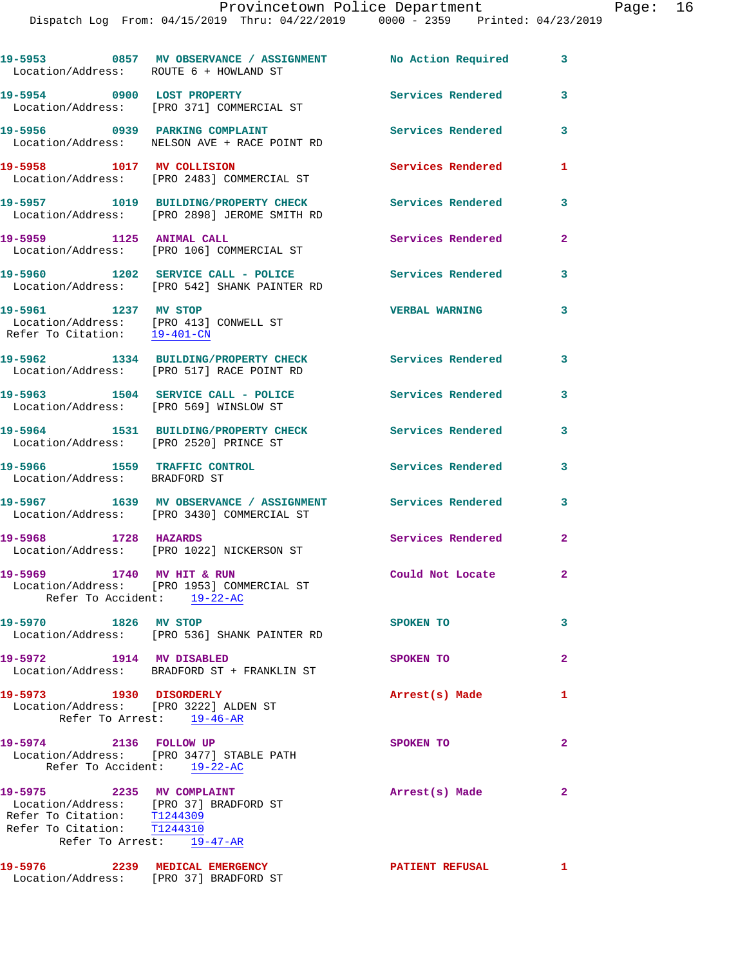| Location/Address: ROUTE 6 + HOWLAND ST                                                                                                                         | 19-5953 0857 MV OBSERVANCE / ASSIGNMENT No Action Required                            |                          | $\mathbf{3}$ |
|----------------------------------------------------------------------------------------------------------------------------------------------------------------|---------------------------------------------------------------------------------------|--------------------------|--------------|
| 19-5954 0900 LOST PROPERTY                                                                                                                                     | Location/Address: [PRO 371] COMMERCIAL ST                                             | Services Rendered        | 3            |
|                                                                                                                                                                | 19-5956 0939 PARKING COMPLAINT<br>Location/Address: NELSON AVE + RACE POINT RD        | <b>Services Rendered</b> | 3            |
| 19-5958 1017 MV COLLISION                                                                                                                                      | Location/Address: [PRO 2483] COMMERCIAL ST                                            | Services Rendered        | 1            |
|                                                                                                                                                                | 19-5957 1019 BUILDING/PROPERTY CHECK<br>Location/Address: [PRO 2898] JEROME SMITH RD  | Services Rendered        | 3            |
| 19-5959 1125 ANIMAL CALL                                                                                                                                       | Location/Address: [PRO 106] COMMERCIAL ST                                             | Services Rendered        | $\mathbf{2}$ |
|                                                                                                                                                                | 19-5960 1202 SERVICE CALL - POLICE<br>Location/Address: [PRO 542] SHANK PAINTER RD    | Services Rendered        | 3            |
| 19-5961 1237 MV STOP<br>Refer To Citation: 19-401-CN                                                                                                           | Location/Address: [PRO 413] CONWELL ST                                                | <b>VERBAL WARNING</b>    | 3            |
|                                                                                                                                                                | 19-5962 1334 BUILDING/PROPERTY CHECK<br>Location/Address: [PRO 517] RACE POINT RD     | Services Rendered        | 3            |
| Location/Address: [PRO 569] WINSLOW ST                                                                                                                         | 19-5963 1504 SERVICE CALL - POLICE                                                    | <b>Services Rendered</b> | 3            |
| Location/Address: [PRO 2520] PRINCE ST                                                                                                                         | 19-5964 1531 BUILDING/PROPERTY CHECK                                                  | Services Rendered        | 3            |
| 19-5966 1559 TRAFFIC CONTROL<br>Location/Address: BRADFORD ST                                                                                                  |                                                                                       | Services Rendered        | 3            |
|                                                                                                                                                                | 19-5967 1639 MV OBSERVANCE / ASSIGNMENT<br>Location/Address: [PRO 3430] COMMERCIAL ST | <b>Services Rendered</b> | 3            |
| 19-5968 1728 HAZARDS                                                                                                                                           | Location/Address: [PRO 1022] NICKERSON ST                                             | Services Rendered        | $\mathbf{2}$ |
| 19-5969 1740 MV HIT & RUN<br>Refer To Accident: 19-22-AC                                                                                                       | Location/Address: [PRO 1953] COMMERCIAL ST                                            | Could Not Locate         | $\mathbf{2}$ |
| 19-5970 1826 MV STOP                                                                                                                                           | Location/Address: [PRO 536] SHANK PAINTER RD                                          | SPOKEN TO                | 3            |
| 19-5972 1914 MV DISABLED                                                                                                                                       | Location/Address: BRADFORD ST + FRANKLIN ST                                           | SPOKEN TO                | $\mathbf{2}$ |
| 19-5973 1930 DISORDERLY<br>Location/Address: [PRO 3222] ALDEN ST                                                                                               | Refer To Arrest: 19-46-AR                                                             | Arrest(s) Made           | $\mathbf{1}$ |
| 19-5974 2136 FOLLOW UP<br>Refer To Accident: 19-22-AC                                                                                                          | Location/Address: [PRO 3477] STABLE PATH                                              | SPOKEN TO                | $\mathbf{2}$ |
| 19-5975 2235 MV COMPLAINT<br>Location/Address: [PRO 37] BRADFORD ST<br>Refer To Citation: T1244309<br>Refer To Citation: T1244310<br>Refer To Arrest: 19-47-AR |                                                                                       | Arrest(s) Made           | $\mathbf{2}$ |
| 19-5976 2239 MEDICAL EMERGENCY<br>Location/Address: [PRO 37] BRADFORD ST                                                                                       |                                                                                       | <b>PATIENT REFUSAL</b>   | $\mathbf{1}$ |